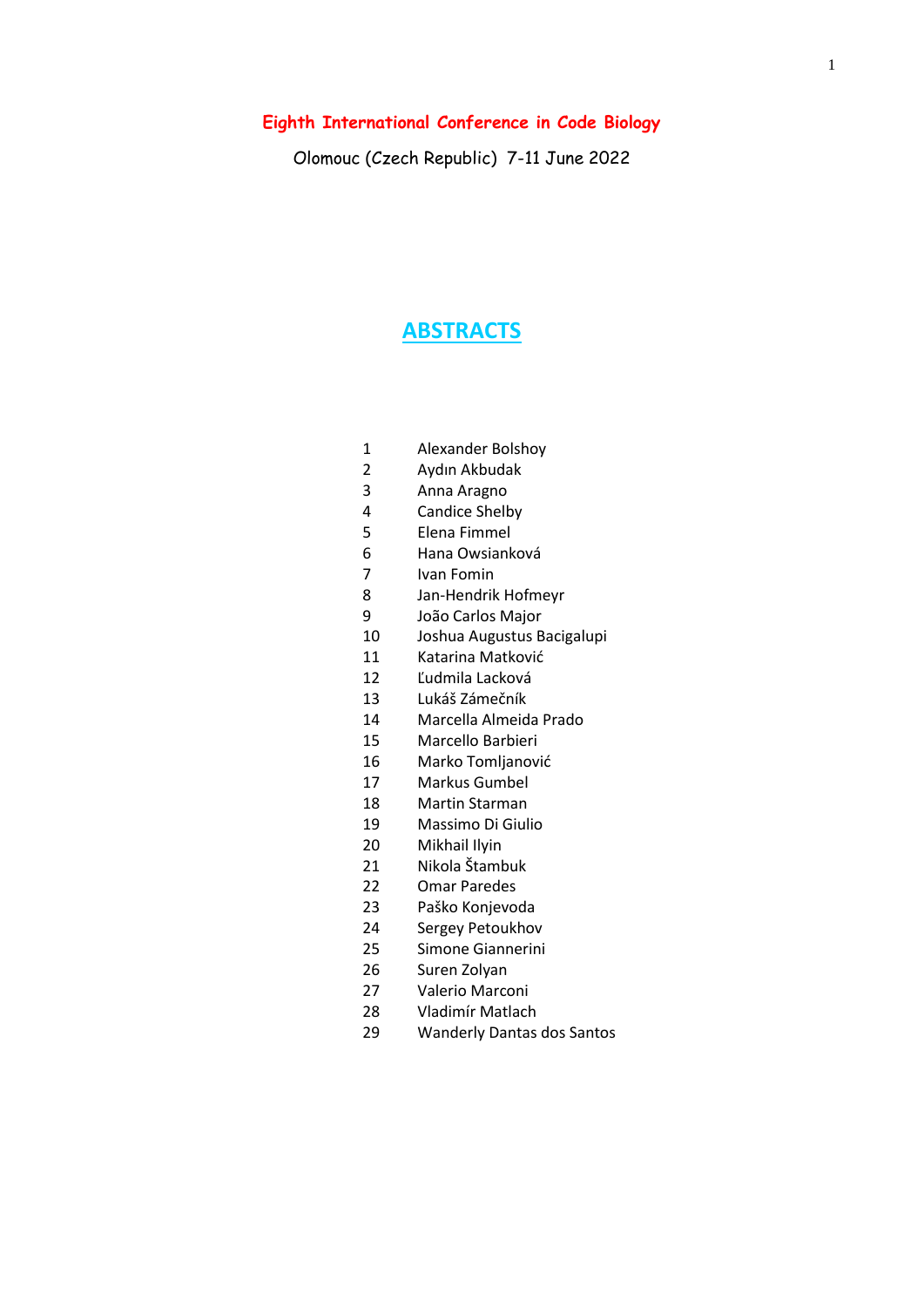#### **Eighth International Conference in Code Biology**

Olomouc (Czech Republic) 7-11 June 2022

#### **ABSTRACTS**

- 1 Alexander Bolshoy<br>2 Avdın Akbudak
- 2 Aydın Akbudak<br>3 Anna Aragno
- Anna Aragno
- Candice Shelby
- Elena Fimmel
- Hana Owsianková
- Ivan Fomin
- Jan-Hendrik Hofmeyr
- João Carlos Major
- Joshua Augustus Bacigalupi
- Katarina Matković
- Ľudmila Lacková
- Lukáš Zámečník
- Marcella Almeida Prado
- Marcello Barbieri
- Marko Tomljanović
- Markus Gumbel
- Martin Starman
- Massimo Di Giulio
- 20 Mikhail Ilyin
- Nikola Štambuk
- Omar Paredes
- Paško Konjevoda
- Sergey Petoukhov
- Simone Giannerini
- Suren Zolyan
- Valerio Marconi
- Vladimír Matlach
- Wanderly Dantas dos Santos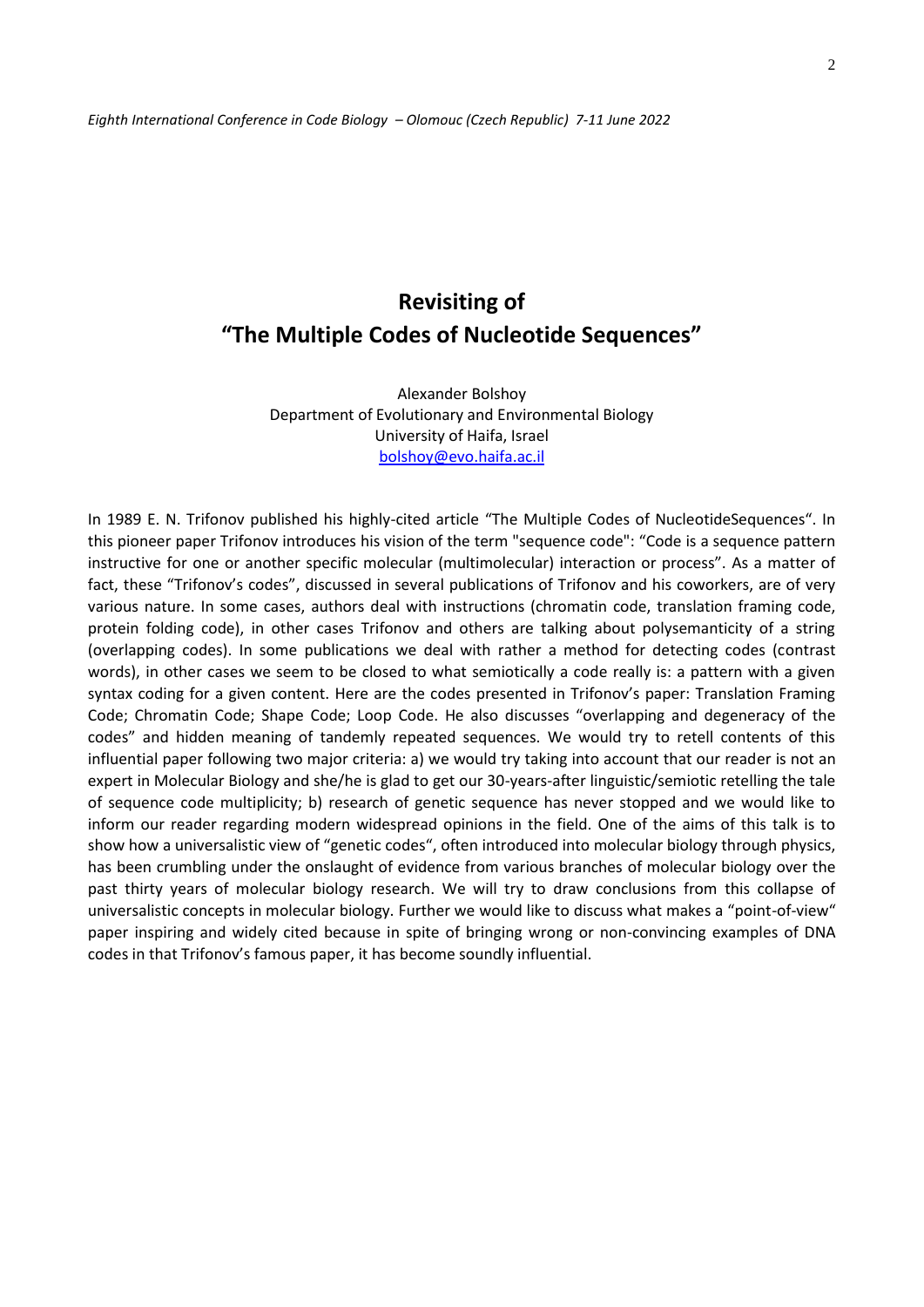# **Revisiting of "The Multiple Codes of Nucleotide Sequences"**

Alexander Bolshoy Department of Evolutionary and Environmental Biology University of Haifa, Israel [bolshoy@evo.haifa.ac.il](mailto:bolshoy@evo.haifa.ac.il)

In 1989 E. N. Trifonov published his highly-cited article "The Multiple Codes of NucleotideSequences". In this pioneer paper Trifonov introduces his vision of the term "sequence code": "Code is a sequence pattern instructive for one or another specific molecular (multimolecular) interaction or process". As a matter of fact, these "Trifonov's codes", discussed in several publications of Trifonov and his coworkers, are of very various nature. In some cases, authors deal with instructions (chromatin code, translation framing code, protein folding code), in other cases Trifonov and others are talking about polysemanticity of a string (overlapping codes). In some publications we deal with rather a method for detecting codes (contrast words), in other cases we seem to be closed to what semiotically a code really is: a pattern with a given syntax coding for a given content. Here are the codes presented in Trifonov's paper: Translation Framing Code; Chromatin Code; Shape Code; Loop Code. He also discusses "overlapping and degeneracy of the codes" and hidden meaning of tandemly repeated sequences. We would try to retell contents of this influential paper following two major criteria: a) we would try taking into account that our reader is not an expert in Molecular Biology and she/he is glad to get our 30-years-after linguistic/semiotic retelling the tale of sequence code multiplicity; b) research of genetic sequence has never stopped and we would like to inform our reader regarding modern widespread opinions in the field. One of the aims of this talk is to show how a universalistic view of "genetic codes", often introduced into molecular biology through physics, has been crumbling under the onslaught of evidence from various branches of molecular biology over the past thirty years of molecular biology research. We will try to draw conclusions from this collapse of universalistic concepts in molecular biology. Further we would like to discuss what makes a "point-of-view" paper inspiring and widely cited because in spite of bringing wrong or non-convincing examples of DNA codes in that Trifonov's famous paper, it has become soundly influential.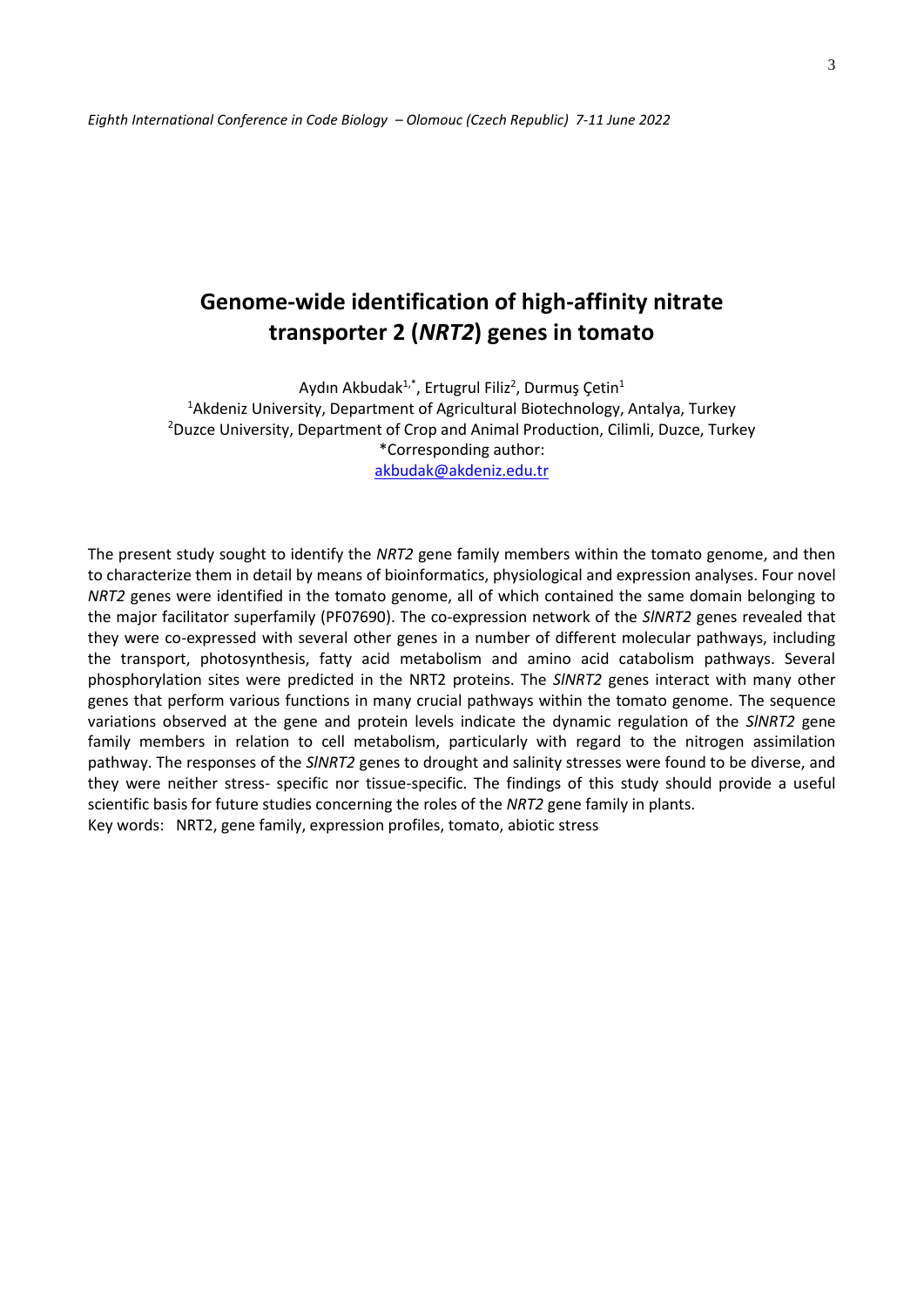## **Genome-wide identification of high-affinity nitrate transporter 2 (***NRT2***) genes in tomato**

Aydın Akbudak<sup>1,\*</sup>, Ertugrul Filiz<sup>2</sup>, Durmuş Çetin<sup>1</sup>

<sup>1</sup>Akdeniz University, Department of Agricultural Biotechnology, Antalya, Turkey <sup>2</sup>Duzce University, Department of Crop and Animal Production, Cilimli, Duzce, Turkey \*Corresponding author: [akbudak@akdeniz.edu.tr](mailto:akbudak@akdeniz.edu.tr)

The present study sought to identify the *NRT2* gene family members within the tomato genome, and then to characterize them in detail by means of bioinformatics, physiological and expression analyses. Four novel *NRT2* genes were identified in the tomato genome, all of which contained the same domain belonging to the major facilitator superfamily (PF07690). The co-expression network of the *SlNRT2* genes revealed that they were co-expressed with several other genes in a number of different molecular pathways, including the transport, photosynthesis, fatty acid metabolism and amino acid catabolism pathways. Several phosphorylation sites were predicted in the NRT2 proteins. The *SlNRT2* genes interact with many other genes that perform various functions in many crucial pathways within the tomato genome. The sequence variations observed at the gene and protein levels indicate the dynamic regulation of the *SlNRT2* gene family members in relation to cell metabolism, particularly with regard to the nitrogen assimilation pathway. The responses of the *SlNRT2* genes to drought and salinity stresses were found to be diverse, and they were neither stress- specific nor tissue-specific. The findings of this study should provide a useful scientific basis for future studies concerning the roles of the *NRT2* gene family in plants. Key words: NRT2, gene family, expression profiles, tomato, abiotic stress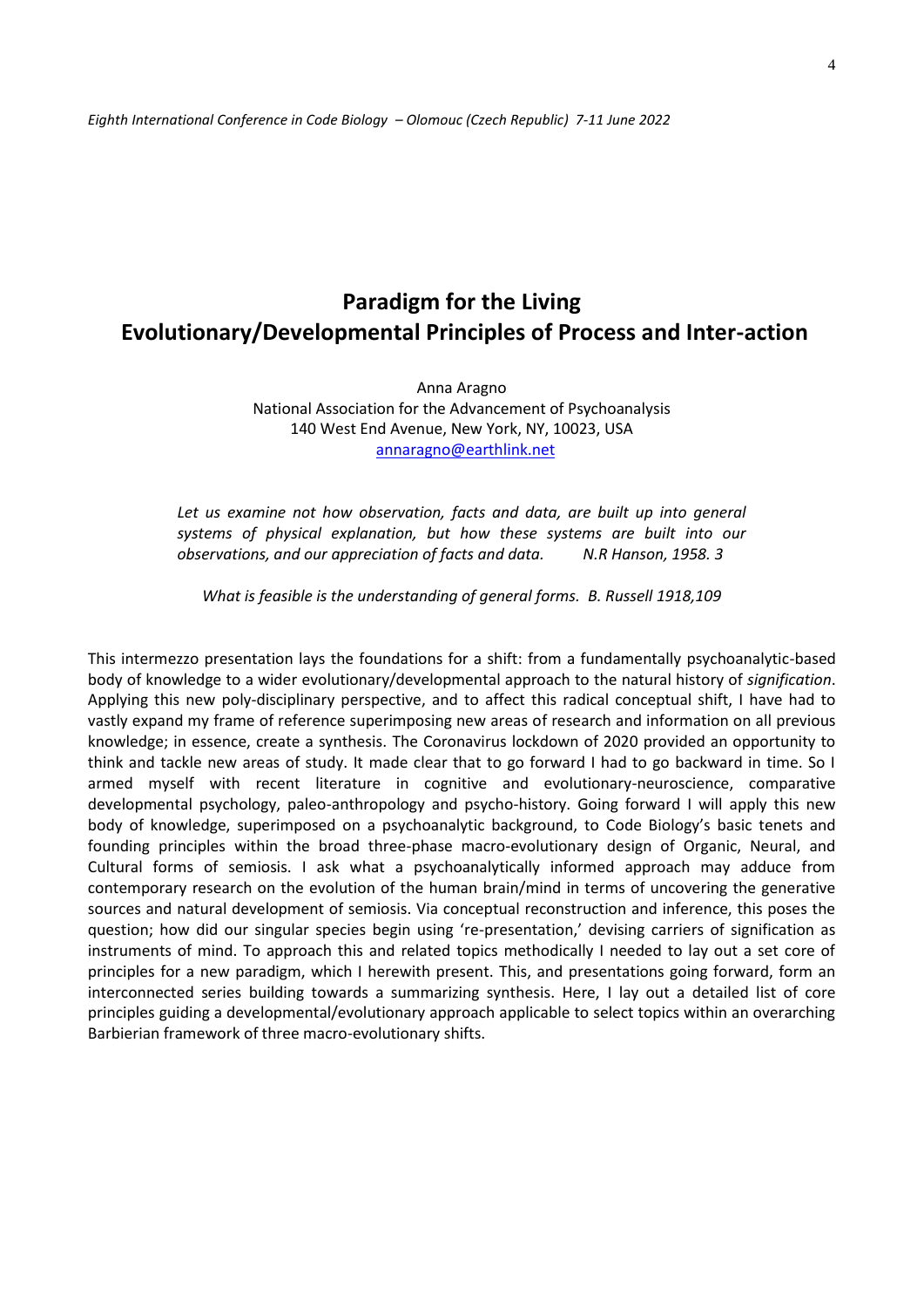## **Paradigm for the Living Evolutionary/Developmental Principles of Process and Inter-action**

Anna Aragno National Association for the Advancement of Psychoanalysis 140 West End Avenue, New York, NY, 10023, USA [annaragno@earthlink.net](mailto:annaragno@earthlink.net)

Let us examine not how observation, facts and data, are built up into general *systems of physical explanation, but how these systems are built into our observations, and our appreciation of facts and data. N.R Hanson, 1958. 3*

*What is feasible is the understanding of general forms. B. Russell 1918,109*

This intermezzo presentation lays the foundations for a shift: from a fundamentally psychoanalytic-based body of knowledge to a wider evolutionary/developmental approach to the natural history of *signification*. Applying this new poly-disciplinary perspective, and to affect this radical conceptual shift, I have had to vastly expand my frame of reference superimposing new areas of research and information on all previous knowledge; in essence, create a synthesis. The Coronavirus lockdown of 2020 provided an opportunity to think and tackle new areas of study. It made clear that to go forward I had to go backward in time. So I armed myself with recent literature in cognitive and evolutionary-neuroscience, comparative developmental psychology, paleo-anthropology and psycho-history. Going forward I will apply this new body of knowledge, superimposed on a psychoanalytic background, to Code Biology's basic tenets and founding principles within the broad three-phase macro-evolutionary design of Organic, Neural, and Cultural forms of semiosis. I ask what a psychoanalytically informed approach may adduce from contemporary research on the evolution of the human brain/mind in terms of uncovering the generative sources and natural development of semiosis. Via conceptual reconstruction and inference, this poses the question; how did our singular species begin using 're-presentation,' devising carriers of signification as instruments of mind. To approach this and related topics methodically I needed to lay out a set core of principles for a new paradigm, which I herewith present. This, and presentations going forward, form an interconnected series building towards a summarizing synthesis. Here, I lay out a detailed list of core principles guiding a developmental/evolutionary approach applicable to select topics within an overarching Barbierian framework of three macro-evolutionary shifts.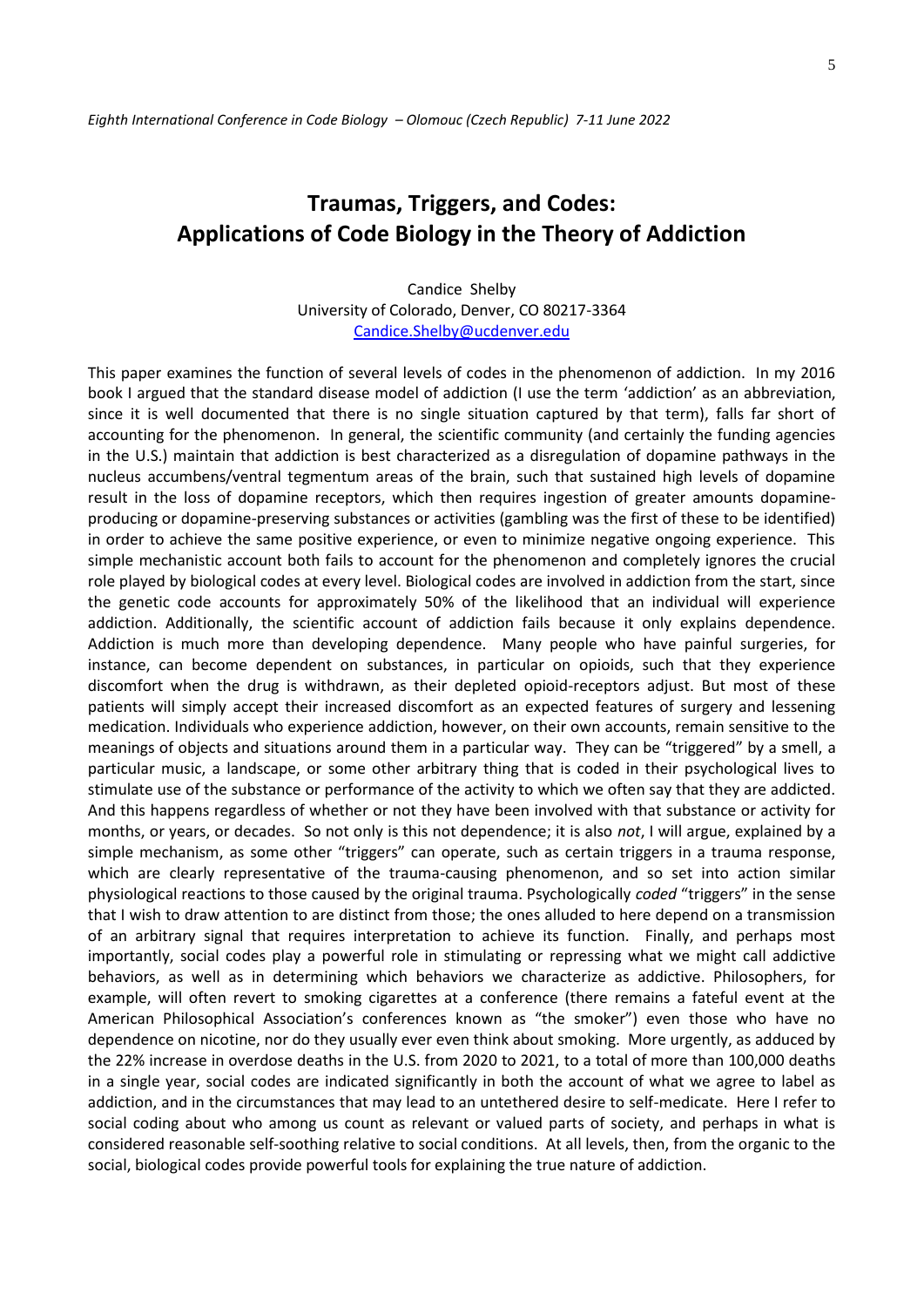## **Traumas, Triggers, and Codes: Applications of Code Biology in the Theory of Addiction**

Candice Shelby University of Colorado, Denver, CO 80217-3364 [Candice.Shelby@ucdenver.edu](mailto:Candice.Shelby@ucdenver.edu)

This paper examines the function of several levels of codes in the phenomenon of addiction. In my 2016 book I argued that the standard disease model of addiction (I use the term 'addiction' as an abbreviation, since it is well documented that there is no single situation captured by that term), falls far short of accounting for the phenomenon. In general, the scientific community (and certainly the funding agencies in the U.S.) maintain that addiction is best characterized as a disregulation of dopamine pathways in the nucleus accumbens/ventral tegmentum areas of the brain, such that sustained high levels of dopamine result in the loss of dopamine receptors, which then requires ingestion of greater amounts dopamineproducing or dopamine-preserving substances or activities (gambling was the first of these to be identified) in order to achieve the same positive experience, or even to minimize negative ongoing experience. This simple mechanistic account both fails to account for the phenomenon and completely ignores the crucial role played by biological codes at every level. Biological codes are involved in addiction from the start, since the genetic code accounts for approximately 50% of the likelihood that an individual will experience addiction. Additionally, the scientific account of addiction fails because it only explains dependence. Addiction is much more than developing dependence. Many people who have painful surgeries, for instance, can become dependent on substances, in particular on opioids, such that they experience discomfort when the drug is withdrawn, as their depleted opioid-receptors adjust. But most of these patients will simply accept their increased discomfort as an expected features of surgery and lessening medication. Individuals who experience addiction, however, on their own accounts, remain sensitive to the meanings of objects and situations around them in a particular way. They can be "triggered" by a smell, a particular music, a landscape, or some other arbitrary thing that is coded in their psychological lives to stimulate use of the substance or performance of the activity to which we often say that they are addicted. And this happens regardless of whether or not they have been involved with that substance or activity for months, or years, or decades. So not only is this not dependence; it is also *not*, I will argue, explained by a simple mechanism, as some other "triggers" can operate, such as certain triggers in a trauma response, which are clearly representative of the trauma-causing phenomenon, and so set into action similar physiological reactions to those caused by the original trauma. Psychologically *coded* "triggers" in the sense that I wish to draw attention to are distinct from those; the ones alluded to here depend on a transmission of an arbitrary signal that requires interpretation to achieve its function. Finally, and perhaps most importantly, social codes play a powerful role in stimulating or repressing what we might call addictive behaviors, as well as in determining which behaviors we characterize as addictive. Philosophers, for example, will often revert to smoking cigarettes at a conference (there remains a fateful event at the American Philosophical Association's conferences known as "the smoker") even those who have no dependence on nicotine, nor do they usually ever even think about smoking. More urgently, as adduced by the 22% increase in overdose deaths in the U.S. from 2020 to 2021, to a total of more than 100,000 deaths in a single year, social codes are indicated significantly in both the account of what we agree to label as addiction, and in the circumstances that may lead to an untethered desire to self-medicate. Here I refer to social coding about who among us count as relevant or valued parts of society, and perhaps in what is considered reasonable self-soothing relative to social conditions. At all levels, then, from the organic to the social, biological codes provide powerful tools for explaining the true nature of addiction.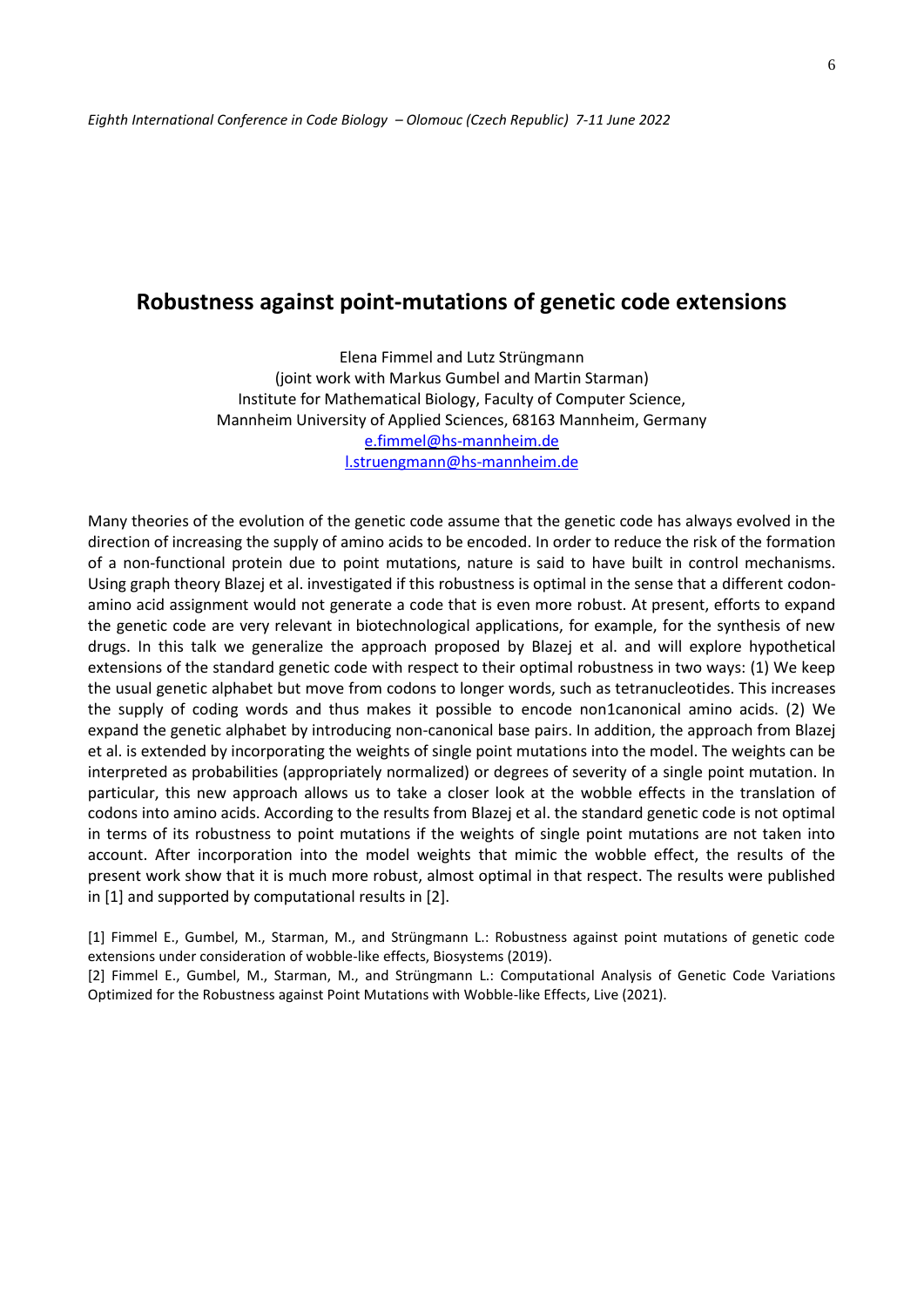#### **Robustness against point-mutations of genetic code extensions**

Elena Fimmel and Lutz Strüngmann (joint work with Markus Gumbel and Martin Starman) Institute for Mathematical Biology, Faculty of Computer Science, Mannheim University of Applied Sciences, 68163 Mannheim, Germany [e.fimmel@hs-mannheim.de](mailto:e.fimmel@hs-mannheim.de) [l.struengmann@hs-mannheim.de](mailto:l.struengmann@hs-mannheim.de)

Many theories of the evolution of the genetic code assume that the genetic code has always evolved in the direction of increasing the supply of amino acids to be encoded. In order to reduce the risk of the formation of a non-functional protein due to point mutations, nature is said to have built in control mechanisms. Using graph theory Blazej et al. investigated if this robustness is optimal in the sense that a different codonamino acid assignment would not generate a code that is even more robust. At present, efforts to expand the genetic code are very relevant in biotechnological applications, for example, for the synthesis of new drugs. In this talk we generalize the approach proposed by Blazej et al. and will explore hypothetical extensions of the standard genetic code with respect to their optimal robustness in two ways: (1) We keep the usual genetic alphabet but move from codons to longer words, such as tetranucleotides. This increases the supply of coding words and thus makes it possible to encode non1canonical amino acids. (2) We expand the genetic alphabet by introducing non-canonical base pairs. In addition, the approach from Blazej et al. is extended by incorporating the weights of single point mutations into the model. The weights can be interpreted as probabilities (appropriately normalized) or degrees of severity of a single point mutation. In particular, this new approach allows us to take a closer look at the wobble effects in the translation of codons into amino acids. According to the results from Blazej et al. the standard genetic code is not optimal in terms of its robustness to point mutations if the weights of single point mutations are not taken into account. After incorporation into the model weights that mimic the wobble effect, the results of the present work show that it is much more robust, almost optimal in that respect. The results were published in [1] and supported by computational results in [2].

[1] Fimmel E., Gumbel, M., Starman, M., and Strüngmann L.: Robustness against point mutations of genetic code extensions under consideration of wobble-like effects, Biosystems (2019).

[2] Fimmel E., Gumbel, M., Starman, M., and Strüngmann L.: Computational Analysis of Genetic Code Variations Optimized for the Robustness against Point Mutations with Wobble-like Effects, Live (2021).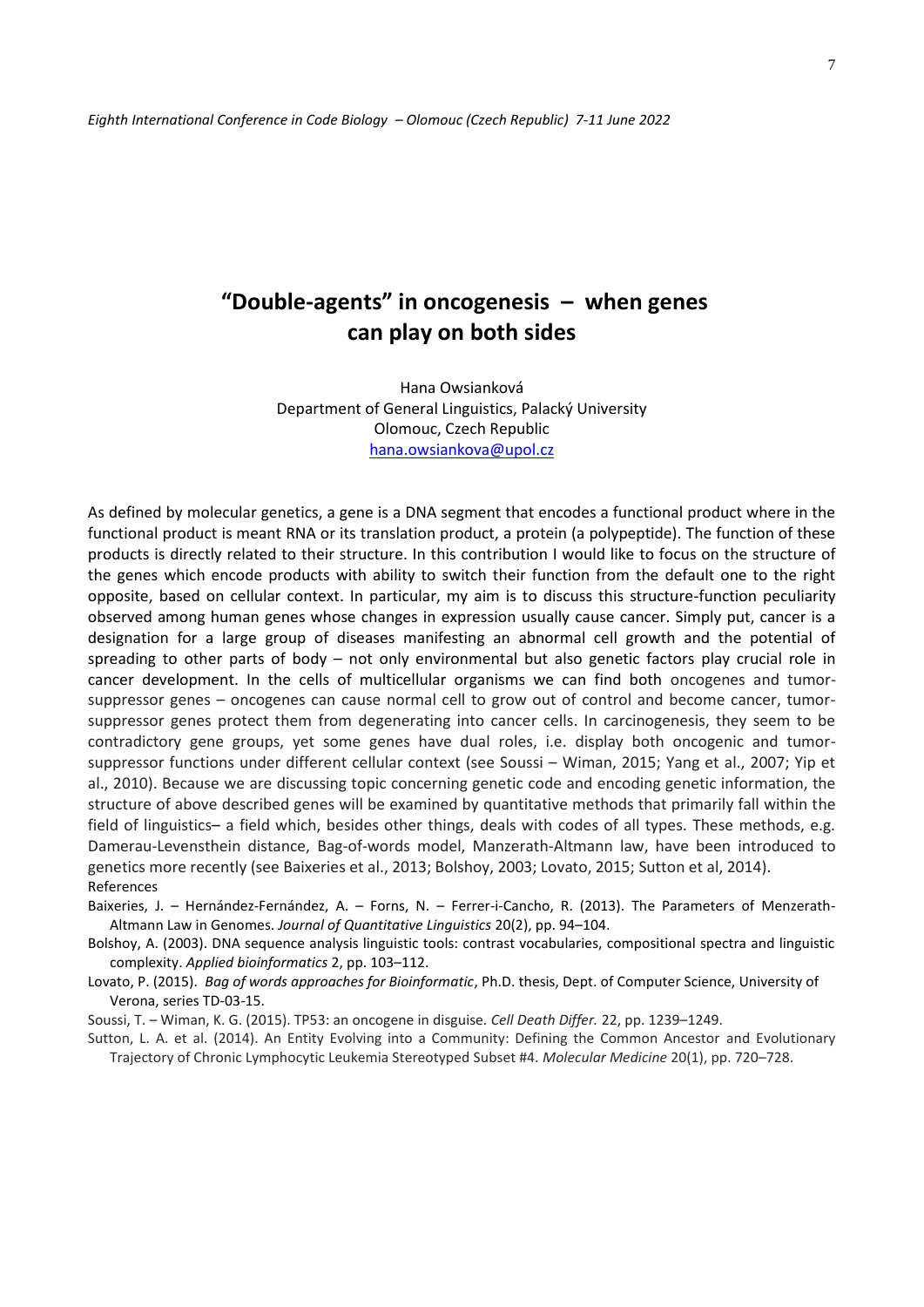# **"Double-agents" in oncogenesis – when genes can play on both sides**

Hana Owsianková Department of General Linguistics, Palacký University Olomouc, Czech Republic [hana.owsiankova@upol.cz](mailto:hana.owsiankova@upol.cz)

As defined by molecular genetics, a gene is a DNA segment that encodes a functional product where in the functional product is meant RNA or its translation product, a protein (a polypeptide). The function of these products is directly related to their structure. In this contribution I would like to focus on the structure of the genes which encode products with ability to switch their function from the default one to the right opposite, based on cellular context. In particular, my aim is to discuss this structure-function peculiarity observed among human genes whose changes in expression usually cause cancer. Simply put, cancer is a designation for a large group of diseases manifesting an abnormal cell growth and the potential of spreading to other parts of body – not only environmental but also genetic factors play crucial role in cancer development. In the cells of multicellular organisms we can find both oncogenes and tumorsuppressor genes – oncogenes can cause normal cell to grow out of control and become cancer, tumorsuppressor genes protect them from degenerating into cancer cells. In carcinogenesis, they seem to be contradictory gene groups, yet some genes have dual roles, i.e. display both oncogenic and tumorsuppressor functions under different cellular context (see Soussi – Wiman, 2015; Yang et al., 2007; Yip et al., 2010). Because we are discussing topic concerning genetic code and encoding genetic information, the structure of above described genes will be examined by quantitative methods that primarily fall within the field of linguistics– a field which, besides other things, deals with codes of all types. These methods, e.g. Damerau-Levensthein distance, Bag-of-words model, Manzerath-Altmann law, have been introduced to genetics more recently (see Baixeries et al., 2013; Bolshoy, 2003; Lovato, 2015; Sutton et al, 2014). References

Baixeries, J. – Hernández-Fernández, A. – Forns, N. – Ferrer-i-Cancho, R. (2013). The Parameters of Menzerath-Altmann Law in Genomes. *Journal of Quantitative Linguistics* 20(2), pp. 94–104.

Bolshoy, A. (2003). DNA sequence analysis linguistic tools: contrast vocabularies, compositional spectra and linguistic complexity. *Applied bioinformatics* 2, pp. 103–112.

Lovato, P. (2015). *Bag of words approaches for Bioinformatic*, Ph.D. thesis, Dept. of Computer Science, University of Verona, series TD-03-15.

Soussi, T. – Wiman, K. G. (2015). TP53: an oncogene in disguise. *Cell Death Differ.* 22, pp. 1239–1249.

Sutton, L. A. et al. (2014). An Entity Evolving into a Community: Defining the Common Ancestor and Evolutionary Trajectory of Chronic Lymphocytic Leukemia Stereotyped Subset #4. *Molecular Medicine* 20(1), pp. 720–728.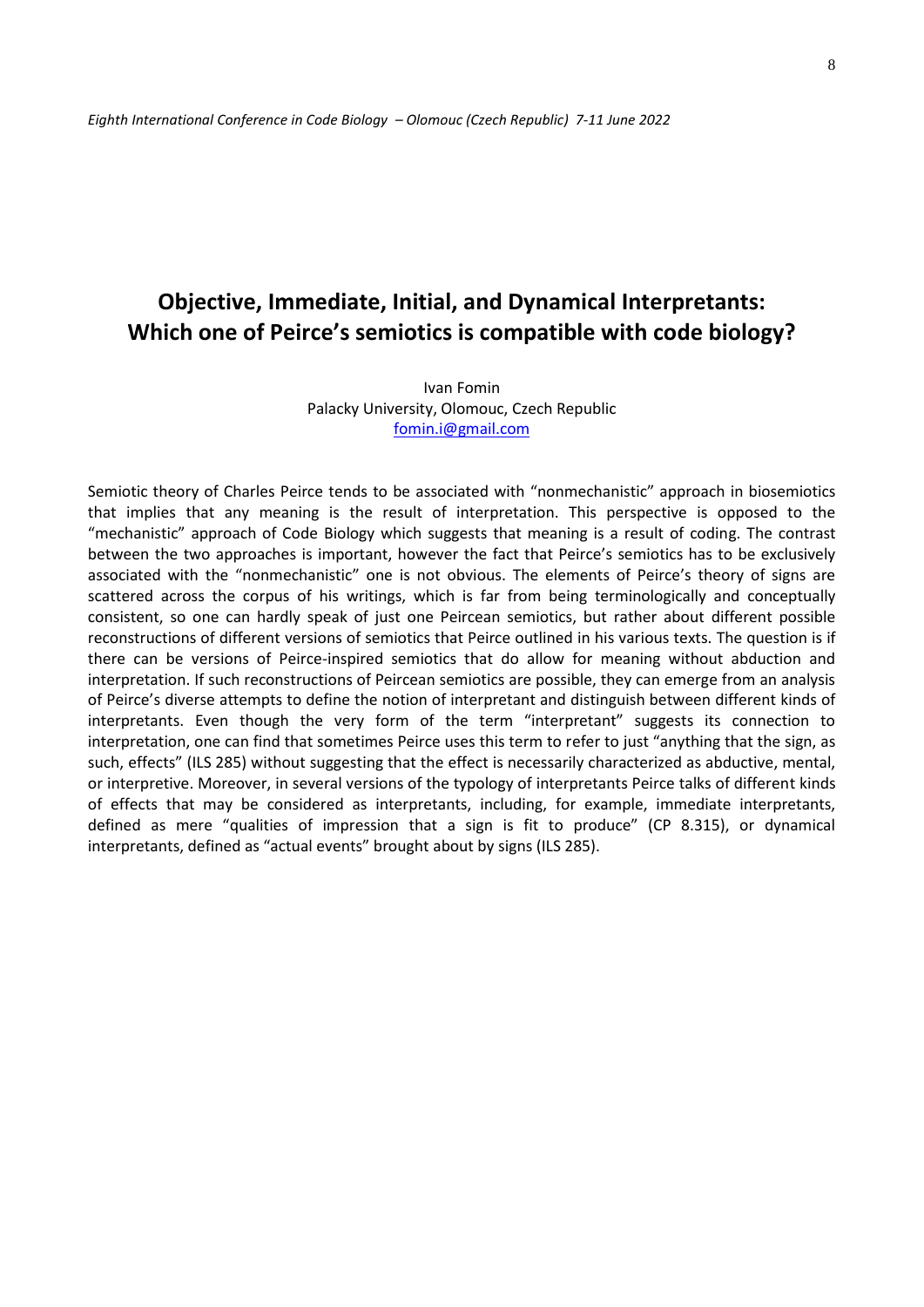# **Objective, Immediate, Initial, and Dynamical Interpretants: Which one of Peirce's semiotics is compatible with code biology?**

Ivan Fomin Palacky University, Olomouc, Czech Republic [fomin.i@gmail.com](mailto:fomin.i@gmail.com)

Semiotic theory of Charles Peirce tends to be associated with "nonmechanistic" approach in biosemiotics that implies that any meaning is the result of interpretation. This perspective is opposed to the "mechanistic" approach of Code Biology which suggests that meaning is a result of coding. The contrast between the two approaches is important, however the fact that Peirce's semiotics has to be exclusively associated with the "nonmechanistic" one is not obvious. The elements of Peirce's theory of signs are scattered across the corpus of his writings, which is far from being terminologically and conceptually consistent, so one can hardly speak of just one Peircean semiotics, but rather about different possible reconstructions of different versions of semiotics that Peirce outlined in his various texts. The question is if there can be versions of Peirce-inspired semiotics that do allow for meaning without abduction and interpretation. If such reconstructions of Peircean semiotics are possible, they can emerge from an analysis of Peirce's diverse attempts to define the notion of interpretant and distinguish between different kinds of interpretants. Even though the very form of the term "interpretant" suggests its connection to interpretation, one can find that sometimes Peirce uses this term to refer to just "anything that the sign, as such, effects" (ILS 285) without suggesting that the effect is necessarily characterized as abductive, mental, or interpretive. Moreover, in several versions of the typology of interpretants Peirce talks of different kinds of effects that may be considered as interpretants, including, for example, immediate interpretants, defined as mere "qualities of impression that a sign is fit to produce" (CP 8.315), or dynamical interpretants, defined as "actual events" brought about by signs (ILS 285).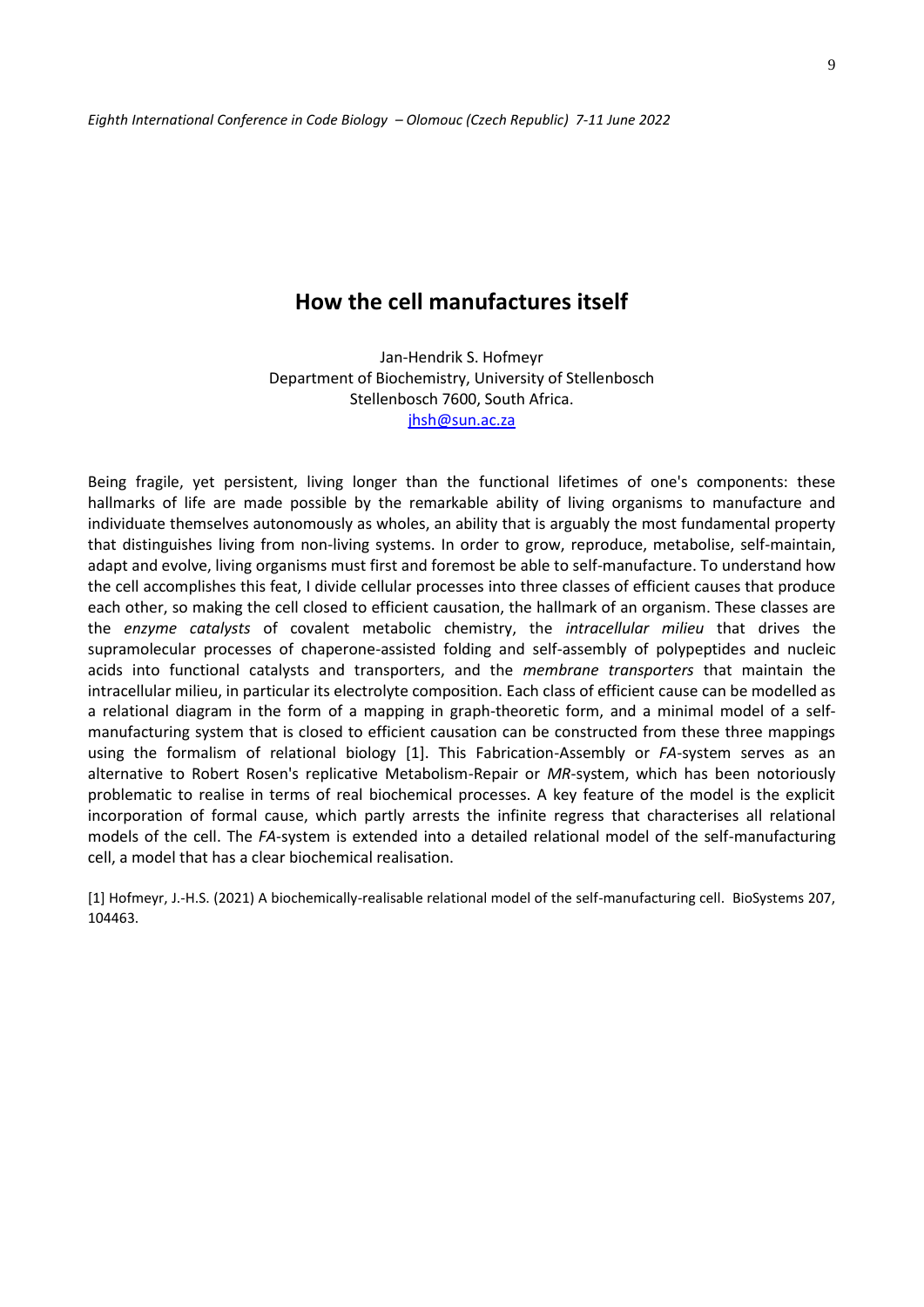### **How the cell manufactures itself**

Jan-Hendrik S. Hofmeyr Department of Biochemistry, University of Stellenbosch Stellenbosch 7600, South Africa. [jhsh@sun.ac.za](mailto:jhsh@sun.ac.za)

Being fragile, yet persistent, living longer than the functional lifetimes of one's components: these hallmarks of life are made possible by the remarkable ability of living organisms to manufacture and individuate themselves autonomously as wholes, an ability that is arguably the most fundamental property that distinguishes living from non-living systems. In order to grow, reproduce, metabolise, self-maintain, adapt and evolve, living organisms must first and foremost be able to self-manufacture. To understand how the cell accomplishes this feat, I divide cellular processes into three classes of efficient causes that produce each other, so making the cell closed to efficient causation, the hallmark of an organism. These classes are the *enzyme catalysts* of covalent metabolic chemistry, the *intracellular milieu* that drives the supramolecular processes of chaperone-assisted folding and self-assembly of polypeptides and nucleic acids into functional catalysts and transporters, and the *membrane transporters* that maintain the intracellular milieu, in particular its electrolyte composition. Each class of efficient cause can be modelled as a relational diagram in the form of a mapping in graph-theoretic form, and a minimal model of a selfmanufacturing system that is closed to efficient causation can be constructed from these three mappings using the formalism of relational biology [1]. This Fabrication-Assembly or *FA*-system serves as an alternative to Robert Rosen's replicative Metabolism-Repair or *MR*-system, which has been notoriously problematic to realise in terms of real biochemical processes. A key feature of the model is the explicit incorporation of formal cause, which partly arrests the infinite regress that characterises all relational models of the cell. The *FA*-system is extended into a detailed relational model of the self-manufacturing cell, a model that has a clear biochemical realisation.

[1] Hofmeyr, J.-H.S. (2021) A biochemically-realisable relational model of the self-manufacturing cell. BioSystems 207, 104463.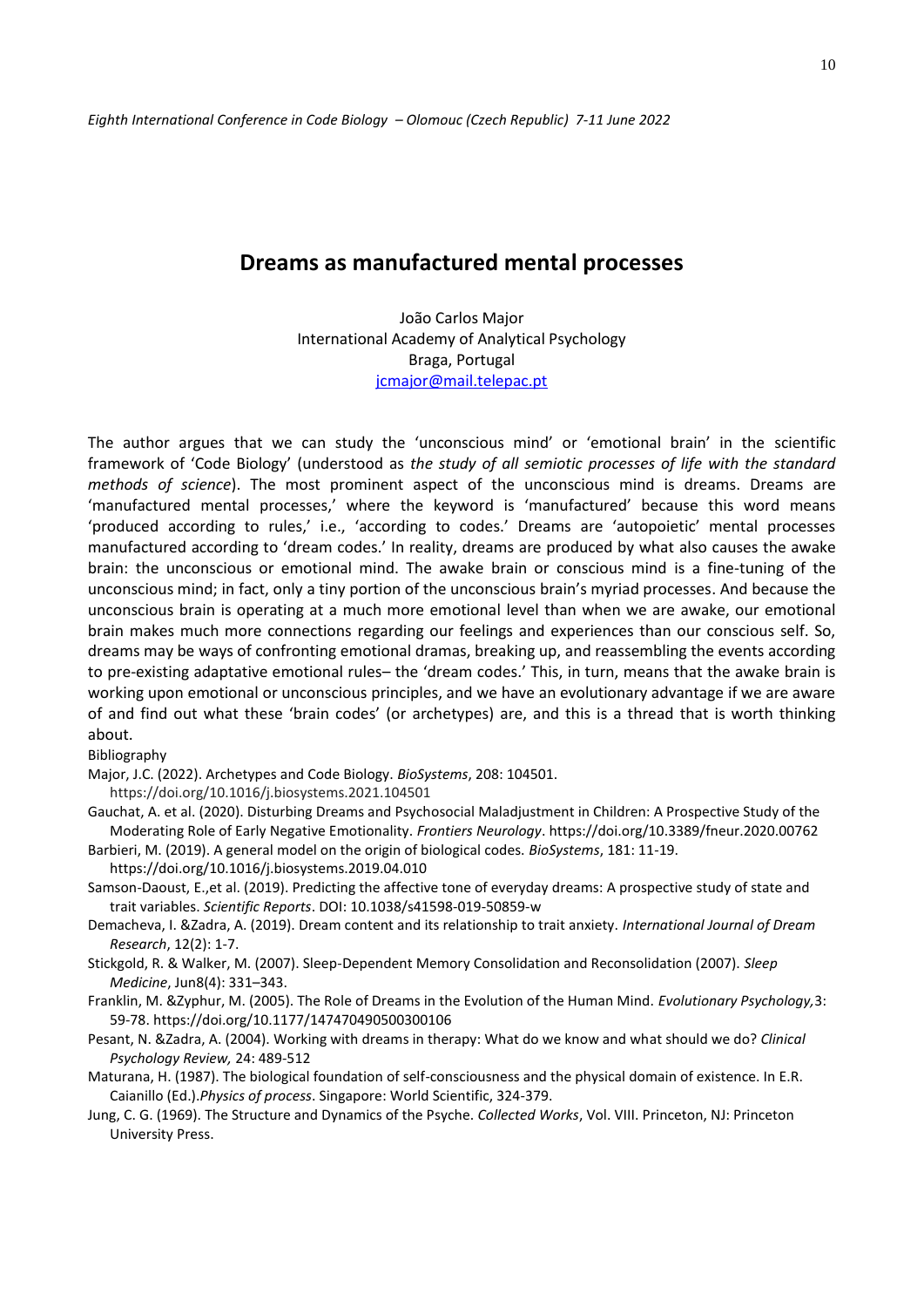#### **Dreams as manufactured mental processes**

João Carlos Major International Academy of Analytical Psychology Braga, Portugal [jcmajor@mail.telepac.pt](mailto:jcmajor@mail.telepac.pt)

The author argues that we can study the 'unconscious mind' or 'emotional brain' in the scientific framework of 'Code Biology' (understood as *the study of all semiotic processes of life with the standard methods of science*). The most prominent aspect of the unconscious mind is dreams. Dreams are 'manufactured mental processes,' where the keyword is 'manufactured' because this word means 'produced according to rules,' i.e., 'according to codes.' Dreams are 'autopoietic' mental processes manufactured according to 'dream codes.' In reality, dreams are produced by what also causes the awake brain: the unconscious or emotional mind. The awake brain or conscious mind is a fine-tuning of the unconscious mind; in fact, only a tiny portion of the unconscious brain's myriad processes. And because the unconscious brain is operating at a much more emotional level than when we are awake, our emotional brain makes much more connections regarding our feelings and experiences than our conscious self. So, dreams may be ways of confronting emotional dramas, breaking up, and reassembling the events according to pre-existing adaptative emotional rules– the 'dream codes.' This, in turn, means that the awake brain is working upon emotional or unconscious principles, and we have an evolutionary advantage if we are aware of and find out what these 'brain codes' (or archetypes) are, and this is a thread that is worth thinking about.

#### Bibliography

Major, J.C. (2022). Archetypes and Code Biology. *BioSystems*, 208: 104501.

https://doi.org/10.1016/j.biosystems.2021.104501

Gauchat, A. et al. (2020). Disturbing Dreams and Psychosocial Maladjustment in Children: A Prospective Study of the Moderating Role of Early Negative Emotionality. *Frontiers Neurology*. https://doi.org/10.3389/fneur.2020.00762

Barbieri, M. (2019). A general model on the origin of biological codes. *BioSystems*, 181: 11-19.

https://doi.org/10.1016/j.biosystems.2019.04.010

- Samson-Daoust, E.,et al. (2019). Predicting the affective tone of everyday dreams: A prospective study of state and trait variables. *Scientific Reports*. DOI: 10.1038/s41598-019-50859-w
- Demacheva, I. &Zadra, A. (2019). Dream content and its relationship to trait anxiety. *International Journal of Dream Research*, 12(2): 1-7.
- Stickgold, R. & Walker, M. (2007). Sleep-Dependent Memory Consolidation and Reconsolidation (2007). *Sleep Medicine*, Jun8(4): 331–343.
- Franklin, M. &Zyphur, M. (2005). The Role of Dreams in the Evolution of the Human Mind. *Evolutionary Psychology,*3: 59-78. https://doi.org/10.1177/147470490500300106
- Pesant, N. &Zadra, A. (2004). Working with dreams in therapy: What do we know and what should we do? *Clinical Psychology Review,* 24: 489-512
- Maturana, H. (1987). The biological foundation of self-consciousness and the physical domain of existence. In E.R. Caianillo (Ed.).*Physics of process*. Singapore: World Scientific, 324-379.
- Jung, C. G. (1969). The Structure and Dynamics of the Psyche. *Collected Works*, Vol. VIII. Princeton, NJ: Princeton University Press.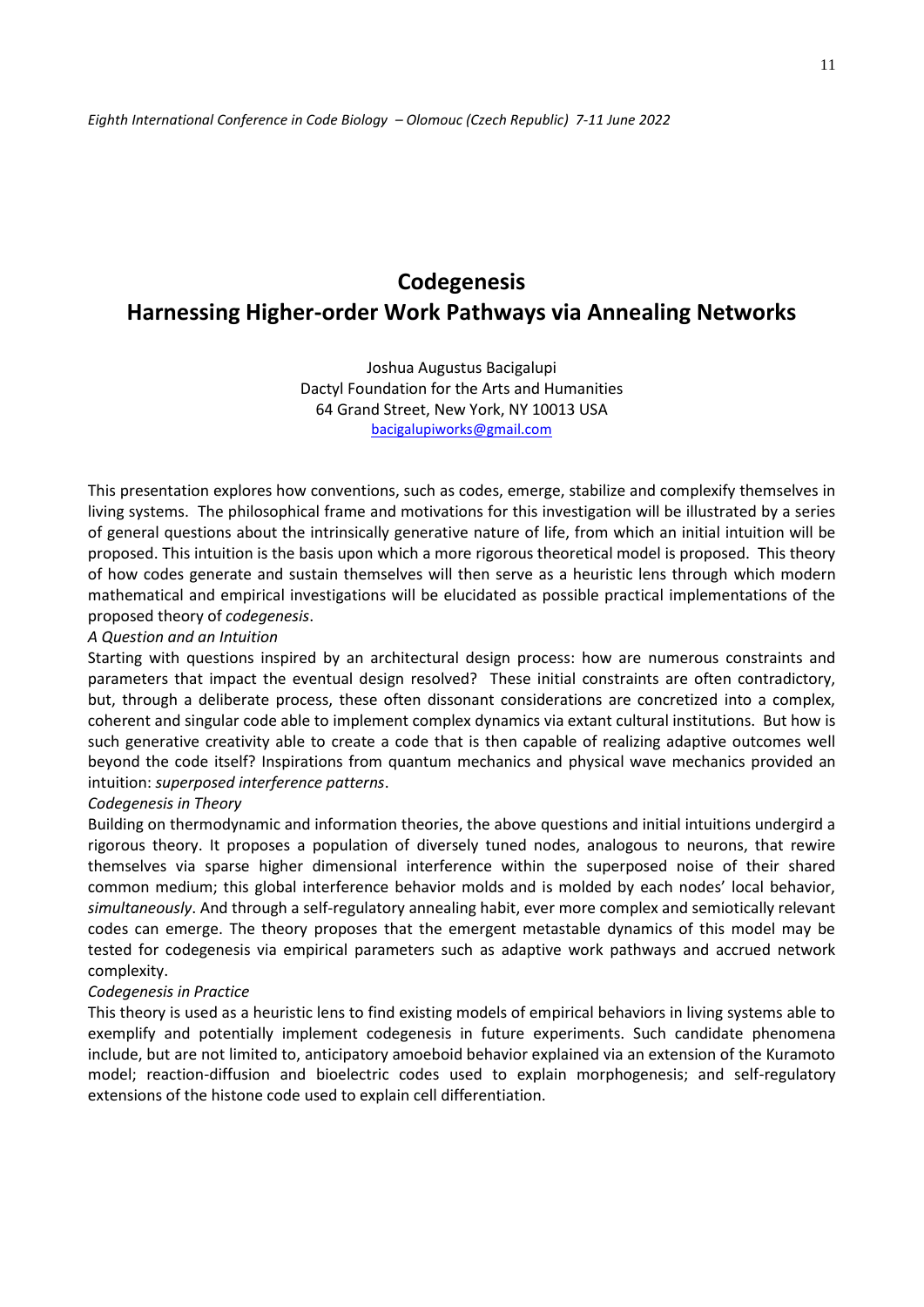# **Codegenesis Harnessing Higher-order Work Pathways via Annealing Networks**

Joshua Augustus Bacigalupi Dactyl Foundation for the Arts and Humanities 64 Grand Street, New York, NY 10013 USA [bacigalupiworks@gmail.com](mailto:bacigalupiworks@gmail.com)

This presentation explores how conventions, such as codes, emerge, stabilize and complexify themselves in living systems. The philosophical frame and motivations for this investigation will be illustrated by a series of general questions about the intrinsically generative nature of life, from which an initial intuition will be proposed. This intuition is the basis upon which a more rigorous theoretical model is proposed. This theory of how codes generate and sustain themselves will then serve as a heuristic lens through which modern mathematical and empirical investigations will be elucidated as possible practical implementations of the proposed theory of *codegenesis*.

#### *A Question and an Intuition*

Starting with questions inspired by an architectural design process: how are numerous constraints and parameters that impact the eventual design resolved? These initial constraints are often contradictory, but, through a deliberate process, these often dissonant considerations are concretized into a complex, coherent and singular code able to implement complex dynamics via extant cultural institutions. But how is such generative creativity able to create a code that is then capable of realizing adaptive outcomes well beyond the code itself? Inspirations from quantum mechanics and physical wave mechanics provided an intuition: *superposed interference patterns*.

#### *Codegenesis in Theory*

Building on thermodynamic and information theories, the above questions and initial intuitions undergird a rigorous theory. It proposes a population of diversely tuned nodes, analogous to neurons, that rewire themselves via sparse higher dimensional interference within the superposed noise of their shared common medium; this global interference behavior molds and is molded by each nodes' local behavior, *simultaneously*. And through a self-regulatory annealing habit, ever more complex and semiotically relevant codes can emerge. The theory proposes that the emergent metastable dynamics of this model may be tested for codegenesis via empirical parameters such as adaptive work pathways and accrued network complexity.

#### *Codegenesis in Practice*

This theory is used as a heuristic lens to find existing models of empirical behaviors in living systems able to exemplify and potentially implement codegenesis in future experiments. Such candidate phenomena include, but are not limited to, anticipatory amoeboid behavior explained via an extension of the Kuramoto model; reaction-diffusion and bioelectric codes used to explain morphogenesis; and self-regulatory extensions of the histone code used to explain cell differentiation.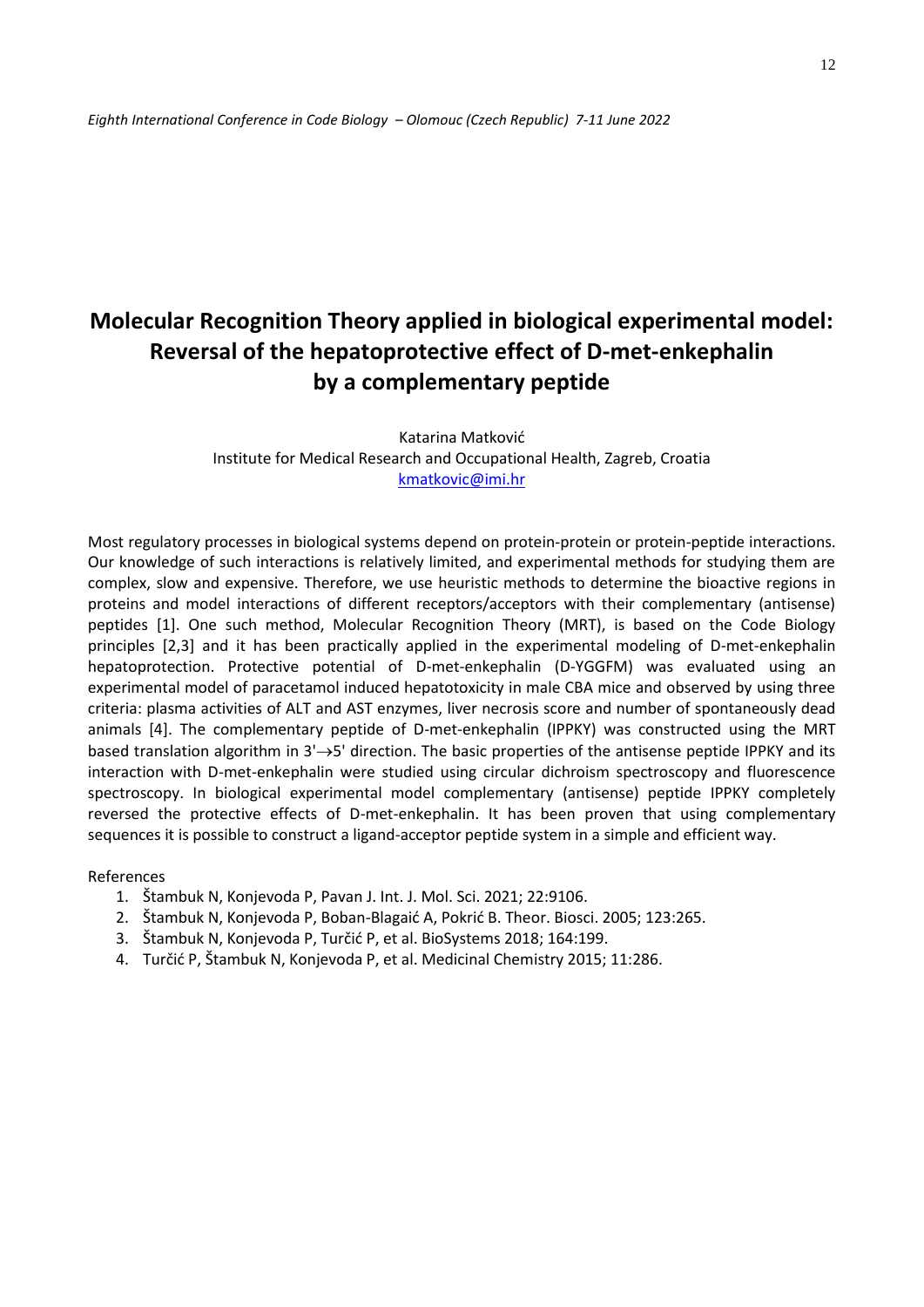# **Molecular Recognition Theory applied in biological experimental model: Reversal of the hepatoprotective effect of D-met-enkephalin by a complementary peptide**

Katarina Matković Institute for Medical Research and Occupational Health, Zagreb, Croatia [kmatkovic@imi.hr](about:blank) 

Most regulatory processes in biological systems depend on protein-protein or protein-peptide interactions. Our knowledge of such interactions is relatively limited, and experimental methods for studying them are complex, slow and expensive. Therefore, we use heuristic methods to determine the bioactive regions in proteins and model interactions of different receptors/acceptors with their complementary (antisense) peptides [1]. One such method, Molecular Recognition Theory (MRT), is based on the Code Biology principles [2,3] and it has been practically applied in the experimental modeling of D-met-enkephalin hepatoprotection. Protective potential of D-met-enkephalin (D-YGGFM) was evaluated using an experimental model of paracetamol induced hepatotoxicity in male CBA mice and observed by using three criteria: plasma activities of ALT and AST enzymes, liver necrosis score and number of spontaneously dead animals [4]. The complementary peptide of D-met-enkephalin (IPPKY) was constructed using the MRT based translation algorithm in  $3' \rightarrow 5'$  direction. The basic properties of the antisense peptide IPPKY and its interaction with D-met-enkephalin were studied using circular dichroism spectroscopy and fluorescence spectroscopy. In biological experimental model complementary (antisense) peptide IPPKY completely reversed the protective effects of D-met-enkephalin. It has been proven that using complementary sequences it is possible to construct a ligand-acceptor peptide system in a simple and efficient way.

References

- 1. Štambuk N, Konjevoda P, Pavan J. Int. J. Mol. Sci. 2021; 22:9106.
- 2. Štambuk N, Konjevoda P, Boban-Blagaić A, Pokrić B. Theor. Biosci. 2005; 123:265.
- 3. Štambuk N, Konjevoda P, Turčić P, et al. BioSystems 2018; 164:199.
- 4. Turčić P, Štambuk N, Konjevoda P, et al. Medicinal Chemistry 2015; 11:286.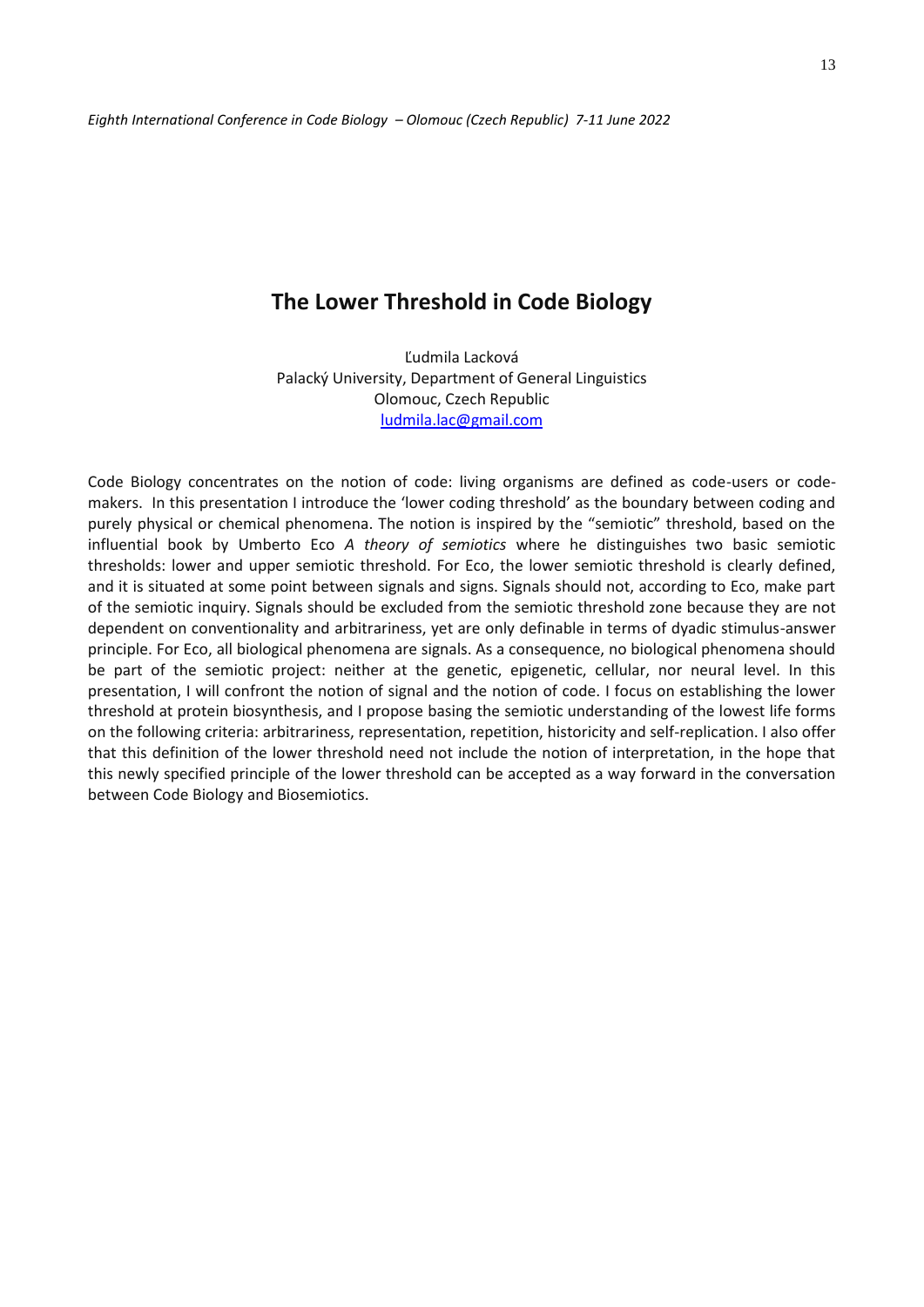### **The Lower Threshold in Code Biology**

Ľudmila Lacková Palacký University, Department of General Linguistics Olomouc, Czech Republic [ludmila.lac@gmail.com](mailto:ludmila.lac@gmail.com)

Code Biology concentrates on the notion of code: living organisms are defined as code-users or codemakers. In this presentation I introduce the 'lower coding threshold' as the boundary between coding and purely physical or chemical phenomena. The notion is inspired by the "semiotic" threshold, based on the influential book by Umberto Eco *A theory of semiotics* where he distinguishes two basic semiotic thresholds: lower and upper semiotic threshold. For Eco, the lower semiotic threshold is clearly defined, and it is situated at some point between signals and signs. Signals should not, according to Eco, make part of the semiotic inquiry. Signals should be excluded from the semiotic threshold zone because they are not dependent on conventionality and arbitrariness, yet are only definable in terms of dyadic stimulus-answer principle. For Eco, all biological phenomena are signals. As a consequence, no biological phenomena should be part of the semiotic project: neither at the genetic, epigenetic, cellular, nor neural level. In this presentation, I will confront the notion of signal and the notion of code. I focus on establishing the lower threshold at protein biosynthesis, and I propose basing the semiotic understanding of the lowest life forms on the following criteria: arbitrariness, representation, repetition, historicity and self-replication. I also offer that this definition of the lower threshold need not include the notion of interpretation, in the hope that this newly specified principle of the lower threshold can be accepted as a way forward in the conversation between Code Biology and Biosemiotics.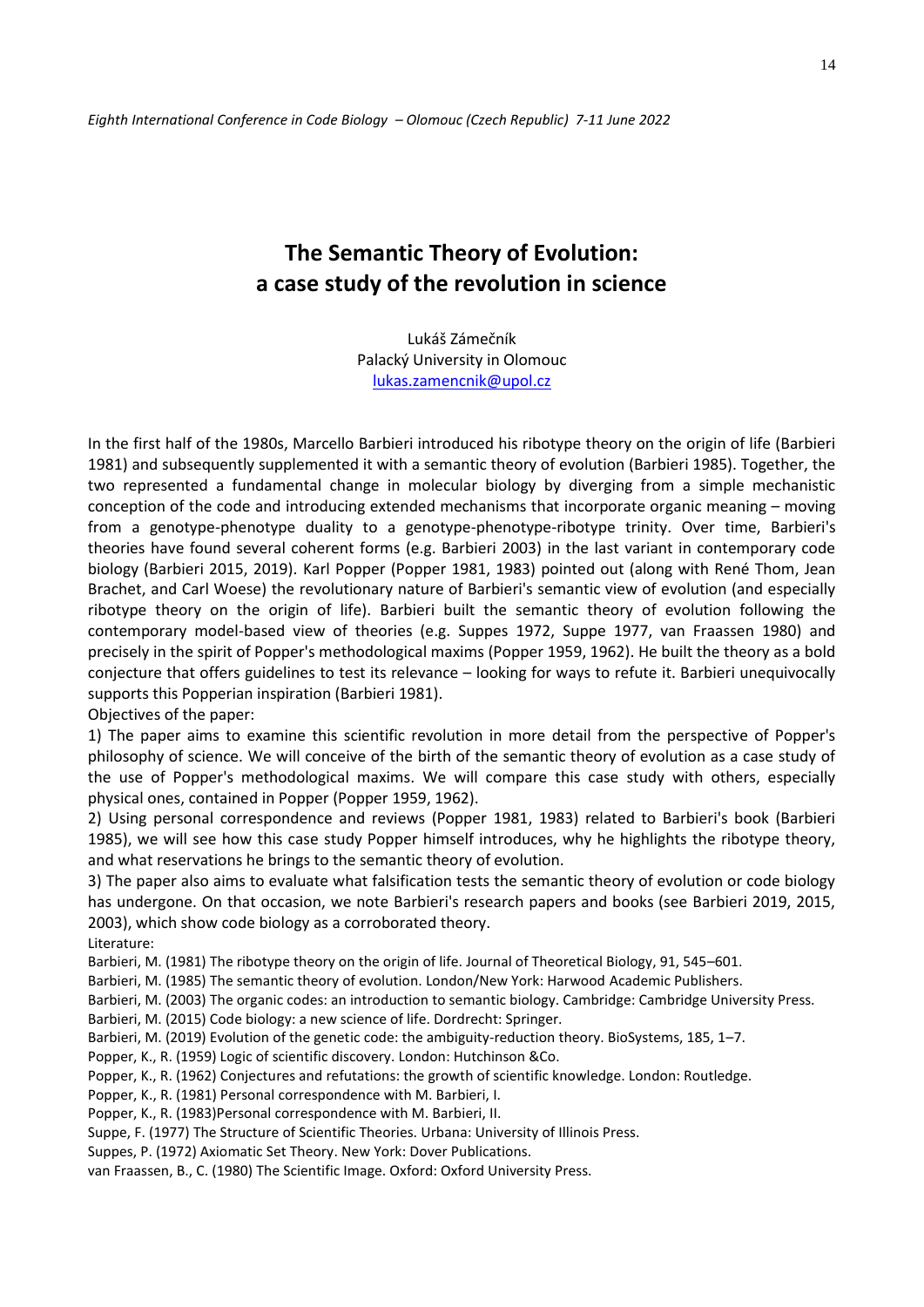## **The Semantic Theory of Evolution: a case study of the revolution in science**

Lukáš Zámečník Palacký University in Olomouc [lukas.zamencnik@upol.cz](mailto:lukas.zamencnik@upol.cz)

In the first half of the 1980s, Marcello Barbieri introduced his ribotype theory on the origin of life (Barbieri 1981) and subsequently supplemented it with a semantic theory of evolution (Barbieri 1985). Together, the two represented a fundamental change in molecular biology by diverging from a simple mechanistic conception of the code and introducing extended mechanisms that incorporate organic meaning – moving from a genotype-phenotype duality to a genotype-phenotype-ribotype trinity. Over time, Barbieri's theories have found several coherent forms (e.g. Barbieri 2003) in the last variant in contemporary code biology (Barbieri 2015, 2019). Karl Popper (Popper 1981, 1983) pointed out (along with René Thom, Jean Brachet, and Carl Woese) the revolutionary nature of Barbieri's semantic view of evolution (and especially ribotype theory on the origin of life). Barbieri built the semantic theory of evolution following the contemporary model-based view of theories (e.g. Suppes 1972, Suppe 1977, van Fraassen 1980) and precisely in the spirit of Popper's methodological maxims (Popper 1959, 1962). He built the theory as a bold conjecture that offers guidelines to test its relevance – looking for ways to refute it. Barbieri unequivocally supports this Popperian inspiration (Barbieri 1981).

Objectives of the paper:

1) The paper aims to examine this scientific revolution in more detail from the perspective of Popper's philosophy of science. We will conceive of the birth of the semantic theory of evolution as a case study of the use of Popper's methodological maxims. We will compare this case study with others, especially physical ones, contained in Popper (Popper 1959, 1962).

2) Using personal correspondence and reviews (Popper 1981, 1983) related to Barbieri's book (Barbieri 1985), we will see how this case study Popper himself introduces, why he highlights the ribotype theory, and what reservations he brings to the semantic theory of evolution.

3) The paper also aims to evaluate what falsification tests the semantic theory of evolution or code biology has undergone. On that occasion, we note Barbieri's research papers and books (see Barbieri 2019, 2015, 2003), which show code biology as a corroborated theory.

Literature:

Barbieri, M. (1981) The ribotype theory on the origin of life. Journal of Theoretical Biology, 91, 545–601.

Barbieri, M. (1985) The semantic theory of evolution. London/New York: Harwood Academic Publishers.

Barbieri, M. (2003) The organic codes: an introduction to semantic biology. Cambridge: Cambridge University Press.

Barbieri, M. (2015) Code biology: a new science of life. Dordrecht: Springer.

Barbieri, M. (2019) Evolution of the genetic code: the ambiguity-reduction theory. BioSystems, 185, 1–7.

Popper, K., R. (1959) Logic of scientific discovery. London: Hutchinson &Co.

Popper, K., R. (1962) Conjectures and refutations: the growth of scientific knowledge. London: Routledge.

Popper, K., R. (1981) Personal correspondence with M. Barbieri, I.

Popper, K., R. (1983)Personal correspondence with M. Barbieri, II.

Suppe, F. (1977) The Structure of Scientific Theories. Urbana: University of Illinois Press.

Suppes, P. (1972) Axiomatic Set Theory. New York: Dover Publications.

van Fraassen, B., C. (1980) The Scientific Image. Oxford: Oxford University Press.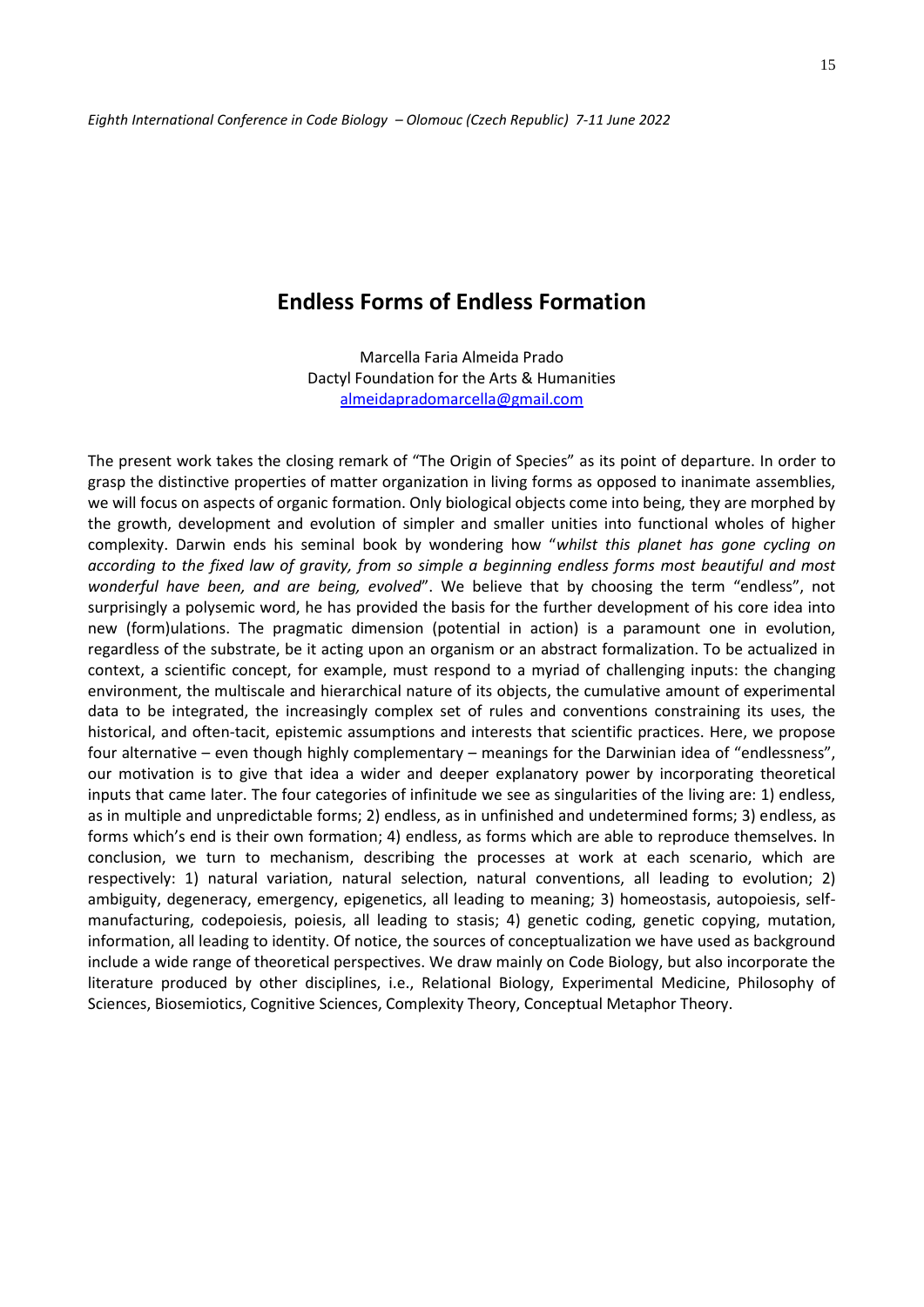### **Endless Forms of Endless Formation**

Marcella Faria Almeida Prado Dactyl Foundation for the Arts & Humanities [almeidapradomarcella@gmail.com](mailto:almeidapradomarcella@gmail.com)

The present work takes the closing remark of "The Origin of Species" as its point of departure. In order to grasp the distinctive properties of matter organization in living forms as opposed to inanimate assemblies, we will focus on aspects of organic formation. Only biological objects come into being, they are morphed by the growth, development and evolution of simpler and smaller unities into functional wholes of higher complexity. Darwin ends his seminal book by wondering how "*whilst this planet has gone cycling on according to the fixed law of gravity, from so simple a beginning endless forms most beautiful and most wonderful have been, and are being, evolved*". We believe that by choosing the term "endless", not surprisingly a polysemic word, he has provided the basis for the further development of his core idea into new (form)ulations. The pragmatic dimension (potential in action) is a paramount one in evolution, regardless of the substrate, be it acting upon an organism or an abstract formalization. To be actualized in context, a scientific concept, for example, must respond to a myriad of challenging inputs: the changing environment, the multiscale and hierarchical nature of its objects, the cumulative amount of experimental data to be integrated, the increasingly complex set of rules and conventions constraining its uses, the historical, and often-tacit, epistemic assumptions and interests that scientific practices. Here, we propose four alternative – even though highly complementary – meanings for the Darwinian idea of "endlessness", our motivation is to give that idea a wider and deeper explanatory power by incorporating theoretical inputs that came later. The four categories of infinitude we see as singularities of the living are: 1) endless, as in multiple and unpredictable forms; 2) endless, as in unfinished and undetermined forms; 3) endless, as forms which's end is their own formation; 4) endless, as forms which are able to reproduce themselves. In conclusion, we turn to mechanism, describing the processes at work at each scenario, which are respectively: 1) natural variation, natural selection, natural conventions, all leading to evolution; 2) ambiguity, degeneracy, emergency, epigenetics, all leading to meaning; 3) homeostasis, autopoiesis, selfmanufacturing, codepoiesis, poiesis, all leading to stasis; 4) genetic coding, genetic copying, mutation, information, all leading to identity. Of notice, the sources of conceptualization we have used as background include a wide range of theoretical perspectives. We draw mainly on Code Biology, but also incorporate the literature produced by other disciplines, i.e., Relational Biology, Experimental Medicine, Philosophy of Sciences, Biosemiotics, Cognitive Sciences, Complexity Theory, Conceptual Metaphor Theory.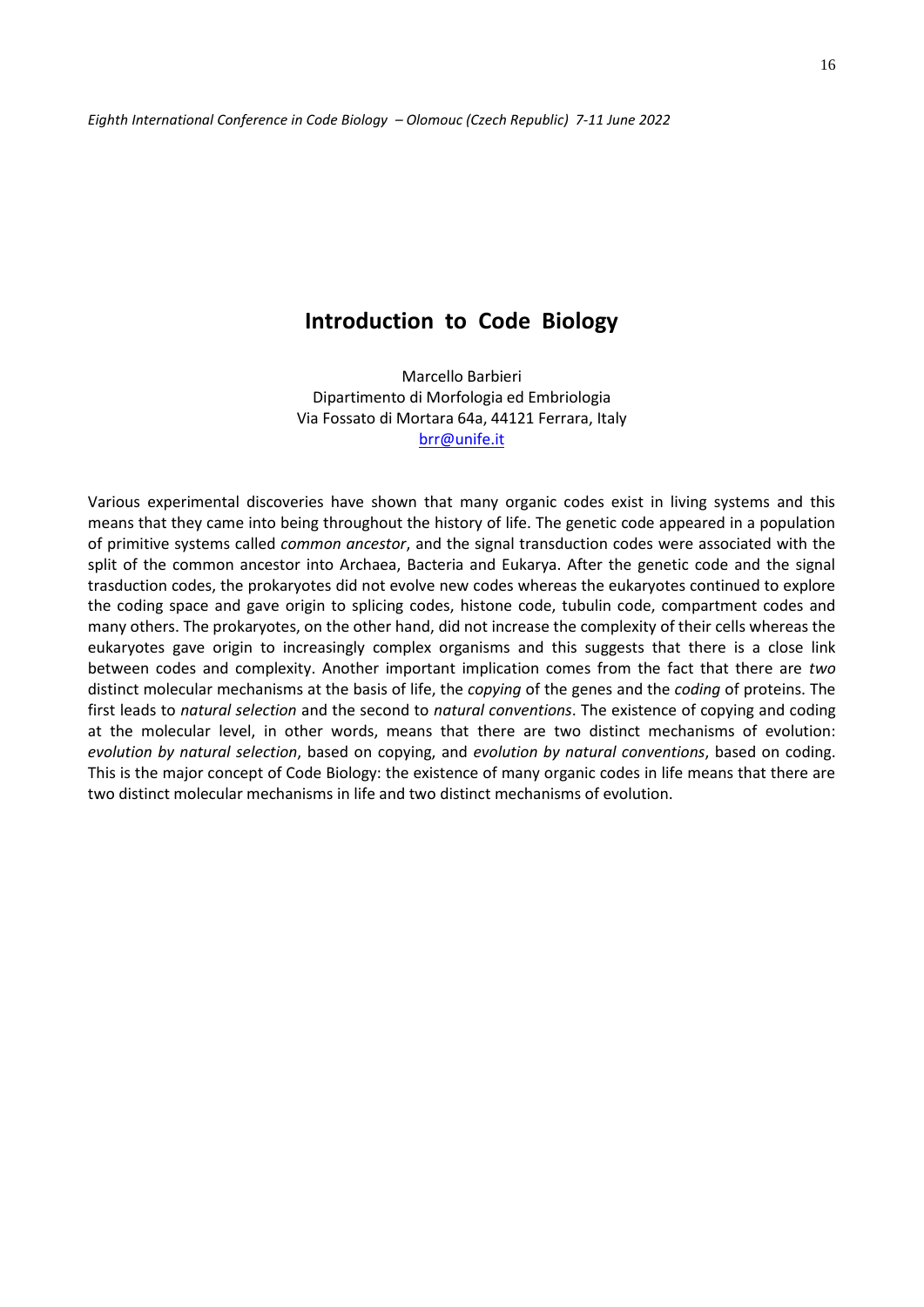### **Introduction to Code Biology**

Marcello Barbieri Dipartimento di Morfologia ed Embriologia Via Fossato di Mortara 64a, 44121 Ferrara, Italy [brr@unife.it](mailto:brr@unife.it)

Various experimental discoveries have shown that many organic codes exist in living systems and this means that they came into being throughout the history of life. The genetic code appeared in a population of primitive systems called *common ancestor*, and the signal transduction codes were associated with the split of the common ancestor into Archaea, Bacteria and Eukarya. After the genetic code and the signal trasduction codes, the prokaryotes did not evolve new codes whereas the eukaryotes continued to explore the coding space and gave origin to splicing codes, histone code, tubulin code, compartment codes and many others. The prokaryotes, on the other hand, did not increase the complexity of their cells whereas the eukaryotes gave origin to increasingly complex organisms and this suggests that there is a close link between codes and complexity. Another important implication comes from the fact that there are *two* distinct molecular mechanisms at the basis of life, the *copying* of the genes and the *coding* of proteins. The first leads to *natural selection* and the second to *natural conventions*. The existence of copying and coding at the molecular level, in other words, means that there are two distinct mechanisms of evolution: *evolution by natural selection*, based on copying, and *evolution by natural conventions*, based on coding. This is the major concept of Code Biology: the existence of many organic codes in life means that there are two distinct molecular mechanisms in life and two distinct mechanisms of evolution.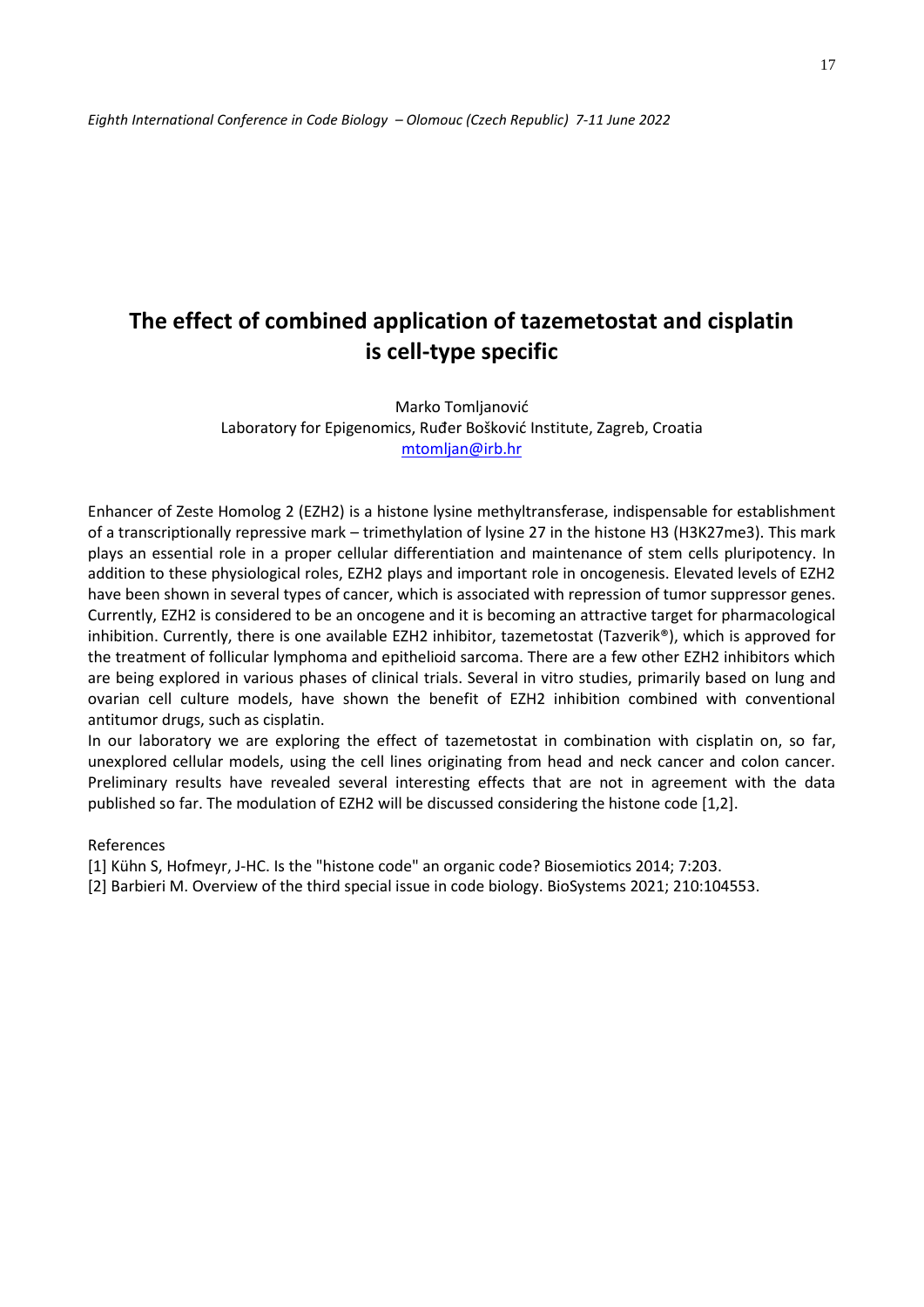## **The effect of combined application of tazemetostat and cisplatin is cell-type specific**

Marko Tomljanović Laboratory for Epigenomics, Ruđer Bošković Institute, Zagreb, Croatia [mtomljan@irb.hr](about:blank)

Enhancer of Zeste Homolog 2 (EZH2) is a histone lysine methyltransferase, indispensable for establishment of a transcriptionally repressive mark – trimethylation of lysine 27 in the histone H3 (H3K27me3). This mark plays an essential role in a proper cellular differentiation and maintenance of stem cells pluripotency. In addition to these physiological roles, EZH2 plays and important role in oncogenesis. Elevated levels of EZH2 have been shown in several types of cancer, which is associated with repression of tumor suppressor genes. Currently, EZH2 is considered to be an oncogene and it is becoming an attractive target for pharmacological inhibition. Currently, there is one available EZH2 inhibitor, tazemetostat (Tazverik®), which is approved for the treatment of follicular lymphoma and epithelioid sarcoma. There are a few other EZH2 inhibitors which are being explored in various phases of clinical trials. Several in vitro studies, primarily based on lung and ovarian cell culture models, have shown the benefit of EZH2 inhibition combined with conventional antitumor drugs, such as cisplatin.

In our laboratory we are exploring the effect of tazemetostat in combination with cisplatin on, so far, unexplored cellular models, using the cell lines originating from head and neck cancer and colon cancer. Preliminary results have revealed several interesting effects that are not in agreement with the data published so far. The modulation of EZH2 will be discussed considering the histone code [1,2].

#### References

[1] Kühn S, Hofmeyr, J-HC. Is the "histone code" an organic code? Biosemiotics 2014; 7:203.

[2] Barbieri M. Overview of the third special issue in code biology. BioSystems 2021; 210:104553.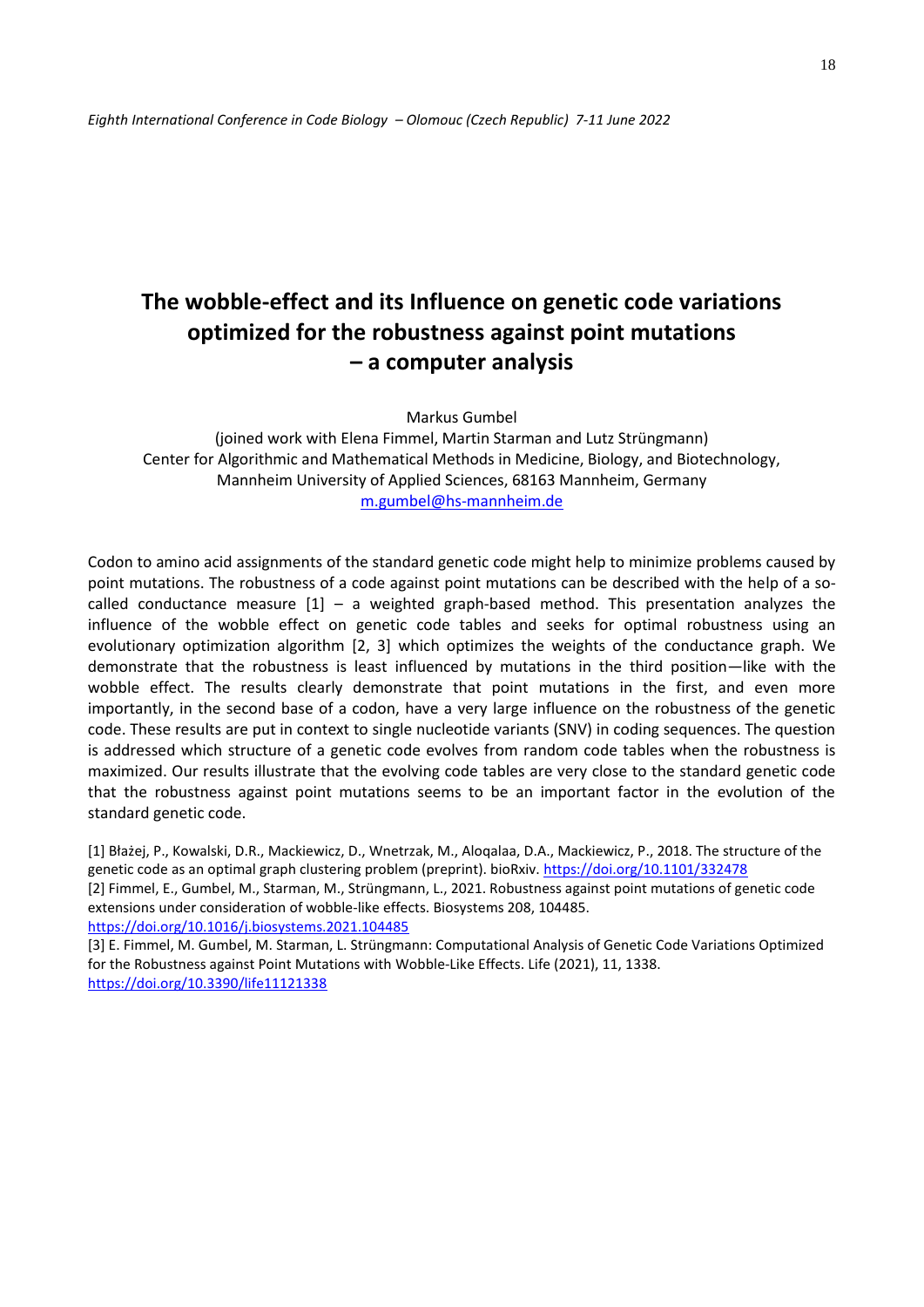# **The wobble-effect and its Influence on genetic code variations optimized for the robustness against point mutations – a computer analysis**

Markus Gumbel

(joined work with Elena Fimmel, Martin Starman and Lutz Strüngmann) Center for Algorithmic and Mathematical Methods in Medicine, Biology, and Biotechnology, Mannheim University of Applied Sciences, 68163 Mannheim, Germany [m.gumbel@hs-mannheim.de](mailto:m.gumbel@hs-mannheim.de)

Codon to amino acid assignments of the standard genetic code might help to minimize problems caused by point mutations. The robustness of a code against point mutations can be described with the help of a socalled conductance measure  $[1]$  – a weighted graph-based method. This presentation analyzes the influence of the wobble effect on genetic code tables and seeks for optimal robustness using an evolutionary optimization algorithm [2, 3] which optimizes the weights of the conductance graph. We demonstrate that the robustness is least influenced by mutations in the third position—like with the wobble effect. The results clearly demonstrate that point mutations in the first, and even more importantly, in the second base of a codon, have a very large influence on the robustness of the genetic code. These results are put in context to single nucleotide variants (SNV) in coding sequences. The question is addressed which structure of a genetic code evolves from random code tables when the robustness is maximized. Our results illustrate that the evolving code tables are very close to the standard genetic code that the robustness against point mutations seems to be an important factor in the evolution of the standard genetic code.

[1] Błażej, P., Kowalski, D.R., Mackiewicz, D., Wnetrzak, M., Aloqalaa, D.A., Mackiewicz, P., 2018. The structure of the genetic code as an optimal graph clustering problem (preprint). bioRxiv.<https://doi.org/10.1101/332478> [2] Fimmel, E., Gumbel, M., Starman, M., Strüngmann, L., 2021. Robustness against point mutations of genetic code extensions under consideration of wobble-like effects. Biosystems 208, 104485. <https://doi.org/10.1016/j.biosystems.2021.104485>

[3] E. Fimmel, M. Gumbel, M. Starman, L. Strüngmann: Computational Analysis of Genetic Code Variations Optimized for the Robustness against Point Mutations with Wobble-Like Effects. Life (2021), 11, 1338. <https://doi.org/10.3390/life11121338>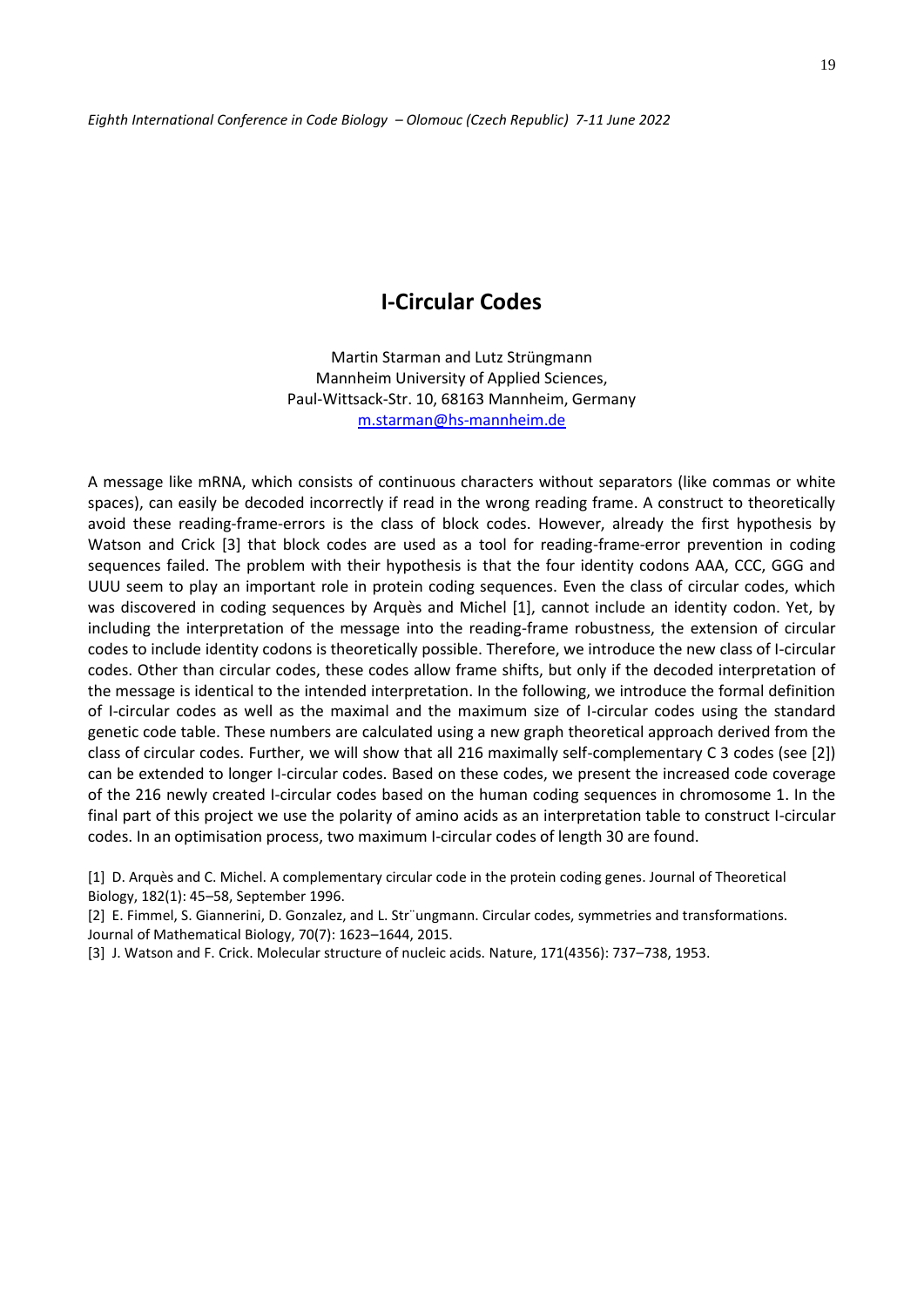### **I-Circular Codes**

Martin Starman and Lutz Strüngmann Mannheim University of Applied Sciences, Paul-Wittsack-Str. 10, 68163 Mannheim, Germany [m.starman@hs-mannheim.de](mailto:m.starman@hs-mannheim.de)

A message like mRNA, which consists of continuous characters without separators (like commas or white spaces), can easily be decoded incorrectly if read in the wrong reading frame. A construct to theoretically avoid these reading-frame-errors is the class of block codes. However, already the first hypothesis by Watson and Crick [3] that block codes are used as a tool for reading-frame-error prevention in coding sequences failed. The problem with their hypothesis is that the four identity codons AAA, CCC, GGG and UUU seem to play an important role in protein coding sequences. Even the class of circular codes, which was discovered in coding sequences by Arquès and Michel [1], cannot include an identity codon. Yet, by including the interpretation of the message into the reading-frame robustness, the extension of circular codes to include identity codons is theoretically possible. Therefore, we introduce the new class of I-circular codes. Other than circular codes, these codes allow frame shifts, but only if the decoded interpretation of the message is identical to the intended interpretation. In the following, we introduce the formal definition of I-circular codes as well as the maximal and the maximum size of I-circular codes using the standard genetic code table. These numbers are calculated using a new graph theoretical approach derived from the class of circular codes. Further, we will show that all 216 maximally self-complementary C 3 codes (see [2]) can be extended to longer I-circular codes. Based on these codes, we present the increased code coverage of the 216 newly created I-circular codes based on the human coding sequences in chromosome 1. In the final part of this project we use the polarity of amino acids as an interpretation table to construct I-circular codes. In an optimisation process, two maximum I-circular codes of length 30 are found.

[1] D. Arquès and C. Michel. A complementary circular code in the protein coding genes. Journal of Theoretical Biology, 182(1): 45–58, September 1996.

[2] E. Fimmel, S. Giannerini, D. Gonzalez, and L. Str¨ungmann. Circular codes, symmetries and transformations. Journal of Mathematical Biology, 70(7): 1623–1644, 2015.

[3] J. Watson and F. Crick. Molecular structure of nucleic acids. Nature, 171(4356): 737–738, 1953.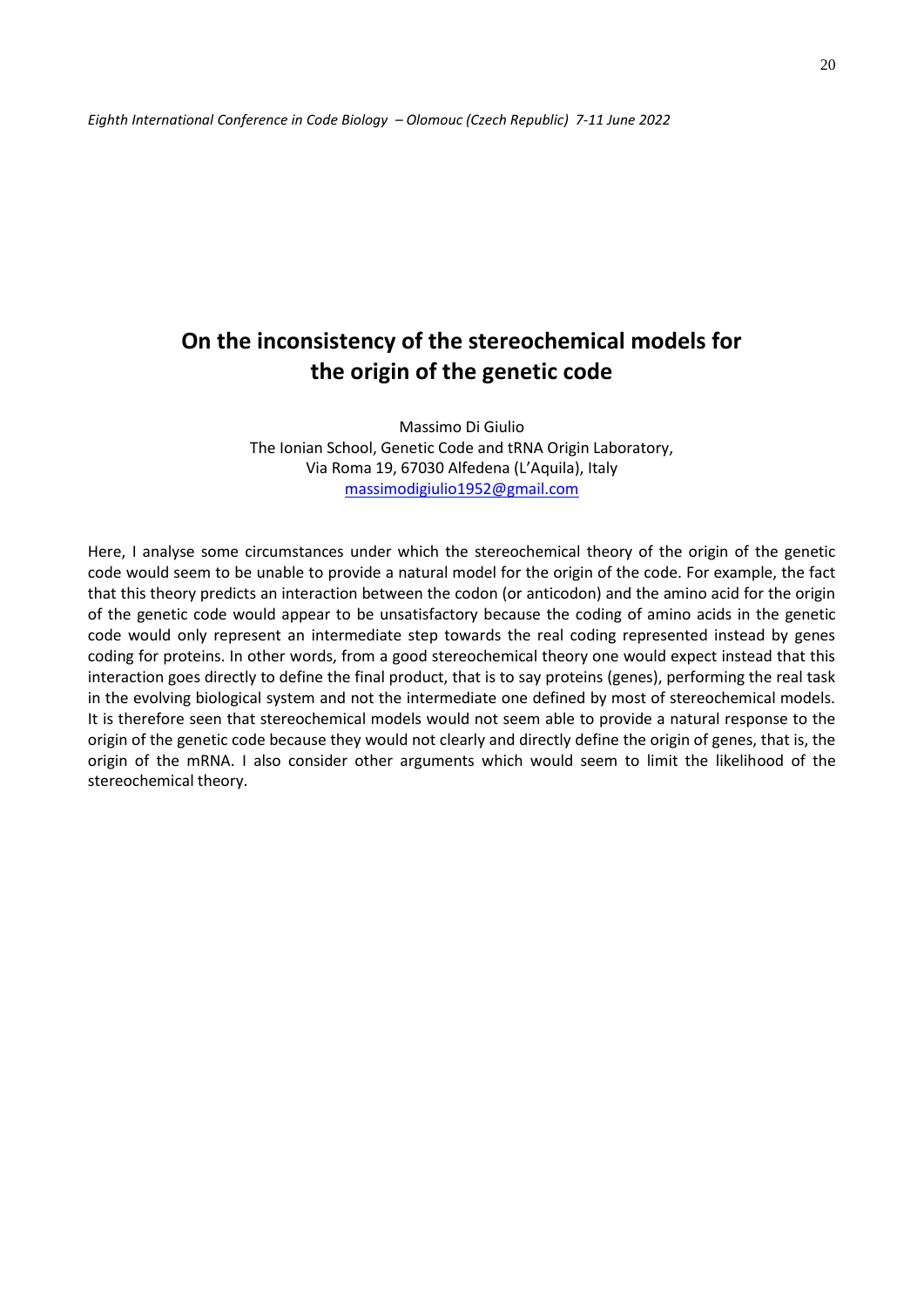## **On the inconsistency of the stereochemical models for the origin of the genetic code**

Massimo Di Giulio The Ionian School, Genetic Code and tRNA Origin Laboratory, Via Roma 19, 67030 Alfedena (L'Aquila), Italy [massimodigiulio1952@gmail.com](mailto:massimodigiulio1952@gmail.com)

Here, I analyse some circumstances under which the stereochemical theory of the origin of the genetic code would seem to be unable to provide a natural model for the origin of the code. For example, the fact that this theory predicts an interaction between the codon (or anticodon) and the amino acid for the origin of the genetic code would appear to be unsatisfactory because the coding of amino acids in the genetic code would only represent an intermediate step towards the real coding represented instead by genes coding for proteins. In other words, from a good stereochemical theory one would expect instead that this interaction goes directly to define the final product, that is to say proteins (genes), performing the real task in the evolving biological system and not the intermediate one defined by most of stereochemical models. It is therefore seen that stereochemical models would not seem able to provide a natural response to the origin of the genetic code because they would not clearly and directly define the origin of genes, that is, the origin of the mRNA. I also consider other arguments which would seem to limit the likelihood of the stereochemical theory.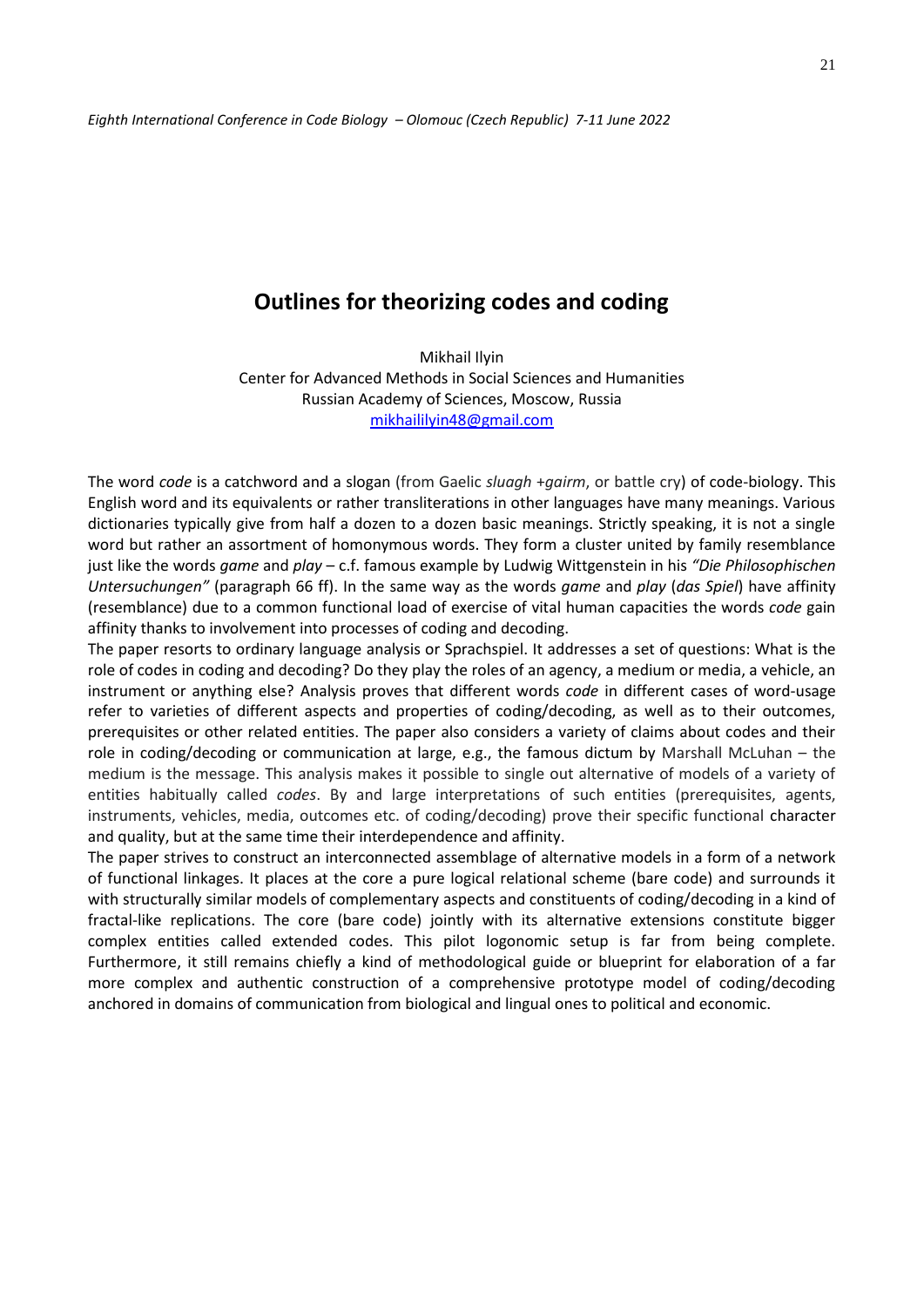## **Outlines for theorizing codes and coding**

Mikhail Ilyin Center for Advanced Methods in Social Sciences and Humanities Russian Academy of Sciences, Moscow, Russia [mikhaililyin48@gmail.com](mailto:mikhaililyin48@gmail.com)

The word *code* is a catchword and a slogan (from Gaelic *sluagh* +*gairm*, or battle cry) of code-biology. This English word and its equivalents or rather transliterations in other languages have many meanings. Various dictionaries typically give from half a dozen to a dozen basic meanings. Strictly speaking, it is not a single word but rather an assortment of homonymous words. They form a cluster united by family resemblance just like the words *game* and *play* – c.f. famous example by Ludwig Wittgenstein in his *"Die Philosophischen Untersuchungen"* (paragraph 66 ff). In the same way as the words *game* and *play* (*das Spiel*) have affinity (resemblance) due to a common functional load of exercise of vital human capacities the words *code* gain affinity thanks to involvement into processes of coding and decoding.

The paper resorts to ordinary language analysis or Sprachspiel. It addresses a set of questions: What is the role of codes in coding and decoding? Do they play the roles of an agency, a medium or media, a vehicle, an instrument or anything else? Analysis proves that different words *code* in different cases of word-usage refer to varieties of different aspects and properties of coding/decoding, as well as to their outcomes, prerequisites or other related entities. The paper also considers a variety of claims about codes and their role in coding/decoding or communication at large, e.g., the famous dictum by Marshall McLuhan – the medium is the message. This analysis makes it possible to single out alternative of models of a variety of entities habitually called *codes*. By and large interpretations of such entities (prerequisites, agents, instruments, vehicles, media, outcomes etc. of coding/decoding) prove their specific functional character and quality, but at the same time their interdependence and affinity.

The paper strives to construct an interconnected assemblage of alternative models in a form of a network of functional linkages. It places at the core a pure logical relational scheme (bare code) and surrounds it with structurally similar models of complementary aspects and constituents of coding/decoding in a kind of fractal-like replications. The core (bare code) jointly with its alternative extensions constitute bigger complex entities called extended codes. This pilot logonomic setup is far from being complete. Furthermore, it still remains chiefly a kind of methodological guide or blueprint for elaboration of a far more complex and authentic construction of a comprehensive prototype model of coding/decoding anchored in domains of communication from biological and lingual ones to political and economic.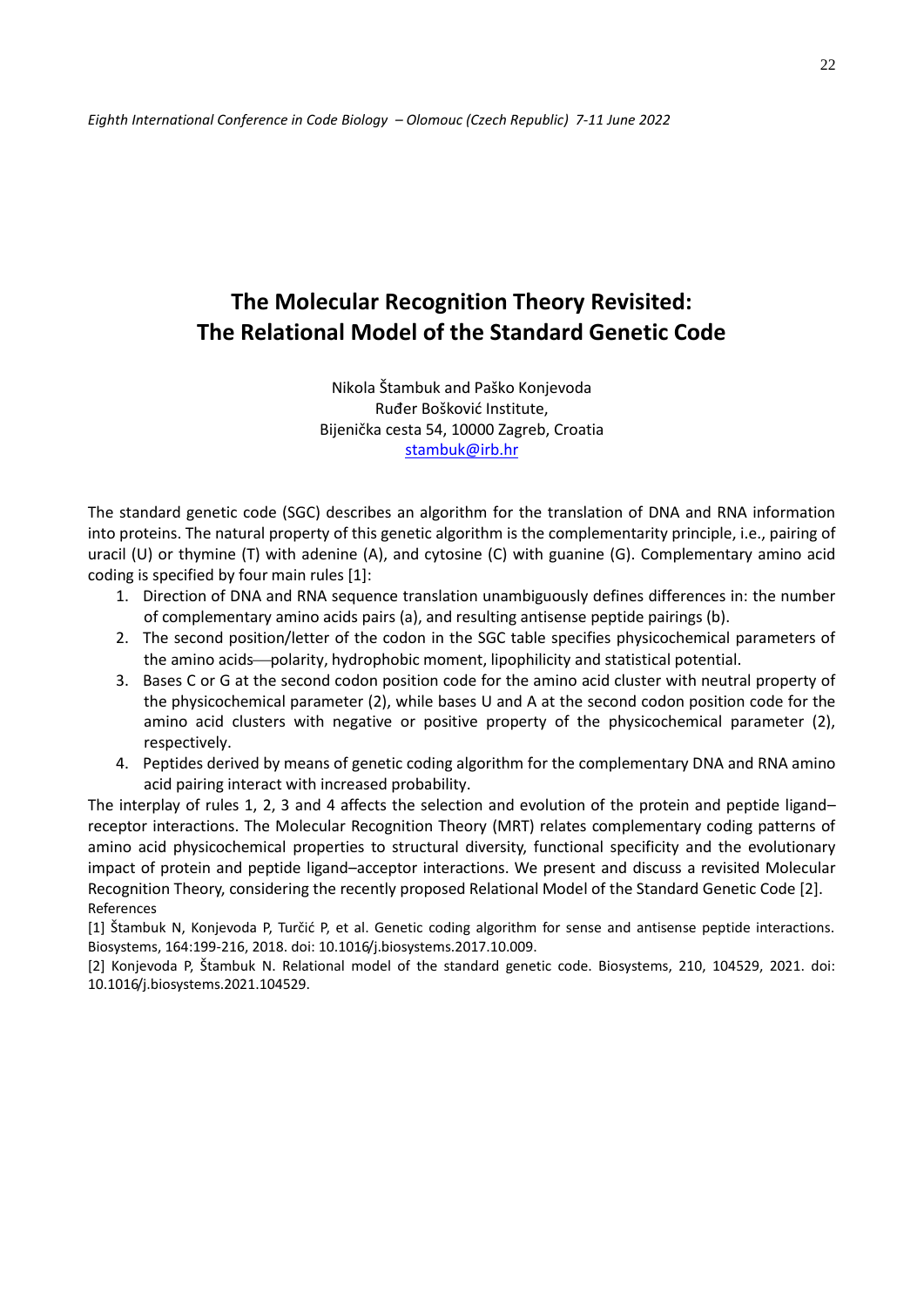## **The Molecular Recognition Theory Revisited: The Relational Model of the Standard Genetic Code**

Nikola Štambuk and Paško Konjevoda Ruđer Bošković Institute, Bijenička cesta 54, 10000 Zagreb, Croatia [stambuk@irb.hr](mailto:stambuk@irb.hr)

The standard genetic code (SGC) describes an algorithm for the translation of DNA and RNA information into proteins. The natural property of this genetic algorithm is the complementarity principle, i.e., pairing of uracil (U) or thymine (T) with adenine (A), and cytosine (C) with guanine (G). Complementary amino acid coding is specified by four main rules [1]:

- 1. Direction of DNA and RNA sequence translation unambiguously defines differences in: the number of complementary amino acids pairs (a), and resulting antisense peptide pairings (b).
- 2. The second position/letter of the codon in the SGC table specifies physicochemical parameters of the amino acids—polarity, hydrophobic moment, lipophilicity and statistical potential.
- 3. Bases C or G at the second codon position code for the amino acid cluster with neutral property of the physicochemical parameter (2), while bases U and A at the second codon position code for the amino acid clusters with negative or positive property of the physicochemical parameter (2), respectively.
- 4. Peptides derived by means of genetic coding algorithm for the complementary DNA and RNA amino acid pairing interact with increased probability.

The interplay of rules 1, 2, 3 and 4 affects the selection and evolution of the protein and peptide ligand– receptor interactions. The Molecular Recognition Theory (MRT) relates complementary coding patterns of amino acid physicochemical properties to structural diversity, functional specificity and the evolutionary impact of protein and peptide ligand–acceptor interactions. We present and discuss a revisited Molecular Recognition Theory, considering the recently proposed Relational Model of the Standard Genetic Code [2]. References

[1] Štambuk N, Konjevoda P, Turčić P, et al. Genetic coding algorithm for sense and antisense peptide interactions. Biosystems, 164:199-216, 2018. doi: 10.1016/j.biosystems.2017.10.009.

[2] Konjevoda P, Štambuk N. Relational model of the standard genetic code. Biosystems, 210, 104529, 2021. doi: 10.1016/j.biosystems.2021.104529.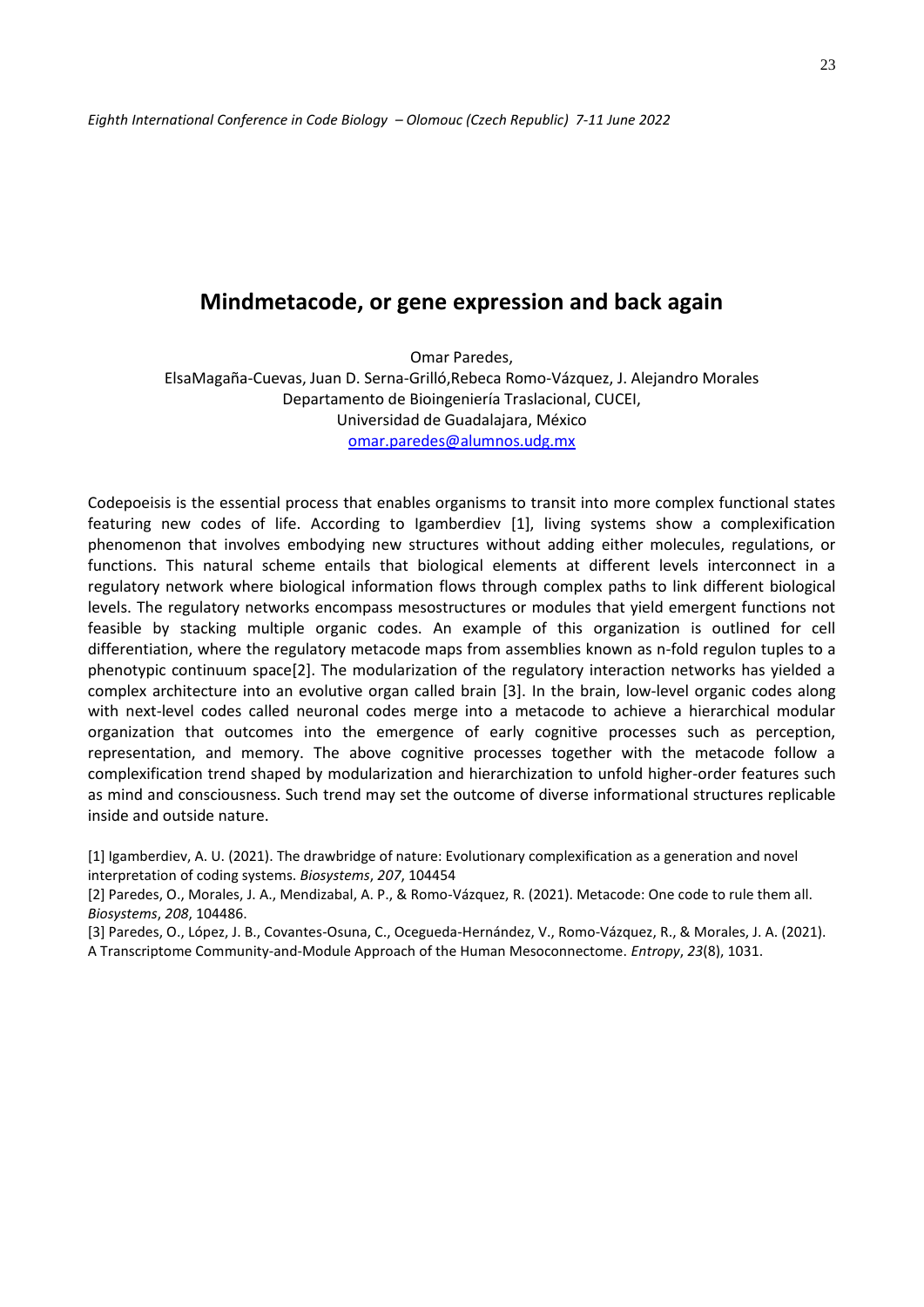## **Mindmetacode, or gene expression and back again**

Omar Paredes, ElsaMagaña-Cuevas, Juan D. Serna-Grilló,Rebeca Romo-Vázquez, J. Alejandro Morales Departamento de Bioingeniería Traslacional, CUCEI, Universidad de Guadalajara, México [omar.paredes@alumnos.udg.mx](mailto:omar.paredes@alumnos.udg.mx)

Codepoeisis is the essential process that enables organisms to transit into more complex functional states featuring new codes of life. According to Igamberdiev [1], living systems show a complexification phenomenon that involves embodying new structures without adding either molecules, regulations, or functions. This natural scheme entails that biological elements at different levels interconnect in a regulatory network where biological information flows through complex paths to link different biological levels. The regulatory networks encompass mesostructures or modules that yield emergent functions not feasible by stacking multiple organic codes. An example of this organization is outlined for cell differentiation, where the regulatory metacode maps from assemblies known as n-fold regulon tuples to a phenotypic continuum space[2]. The modularization of the regulatory interaction networks has yielded a complex architecture into an evolutive organ called brain [3]. In the brain, low-level organic codes along with next-level codes called neuronal codes merge into a metacode to achieve a hierarchical modular organization that outcomes into the emergence of early cognitive processes such as perception, representation, and memory. The above cognitive processes together with the metacode follow a complexification trend shaped by modularization and hierarchization to unfold higher-order features such as mind and consciousness. Such trend may set the outcome of diverse informational structures replicable inside and outside nature.

[1] Igamberdiev, A. U. (2021). The drawbridge of nature: Evolutionary complexification as a generation and novel interpretation of coding systems. *Biosystems*, *207*, 104454

[2] Paredes, O., Morales, J. A., Mendizabal, A. P., & Romo-Vázquez, R. (2021). Metacode: One code to rule them all. *Biosystems*, *208*, 104486.

[3] Paredes, O., López, J. B., Covantes-Osuna, C., Ocegueda-Hernández, V., Romo-Vázquez, R., & Morales, J. A. (2021). A Transcriptome Community-and-Module Approach of the Human Mesoconnectome. *Entropy*, *23*(8), 1031.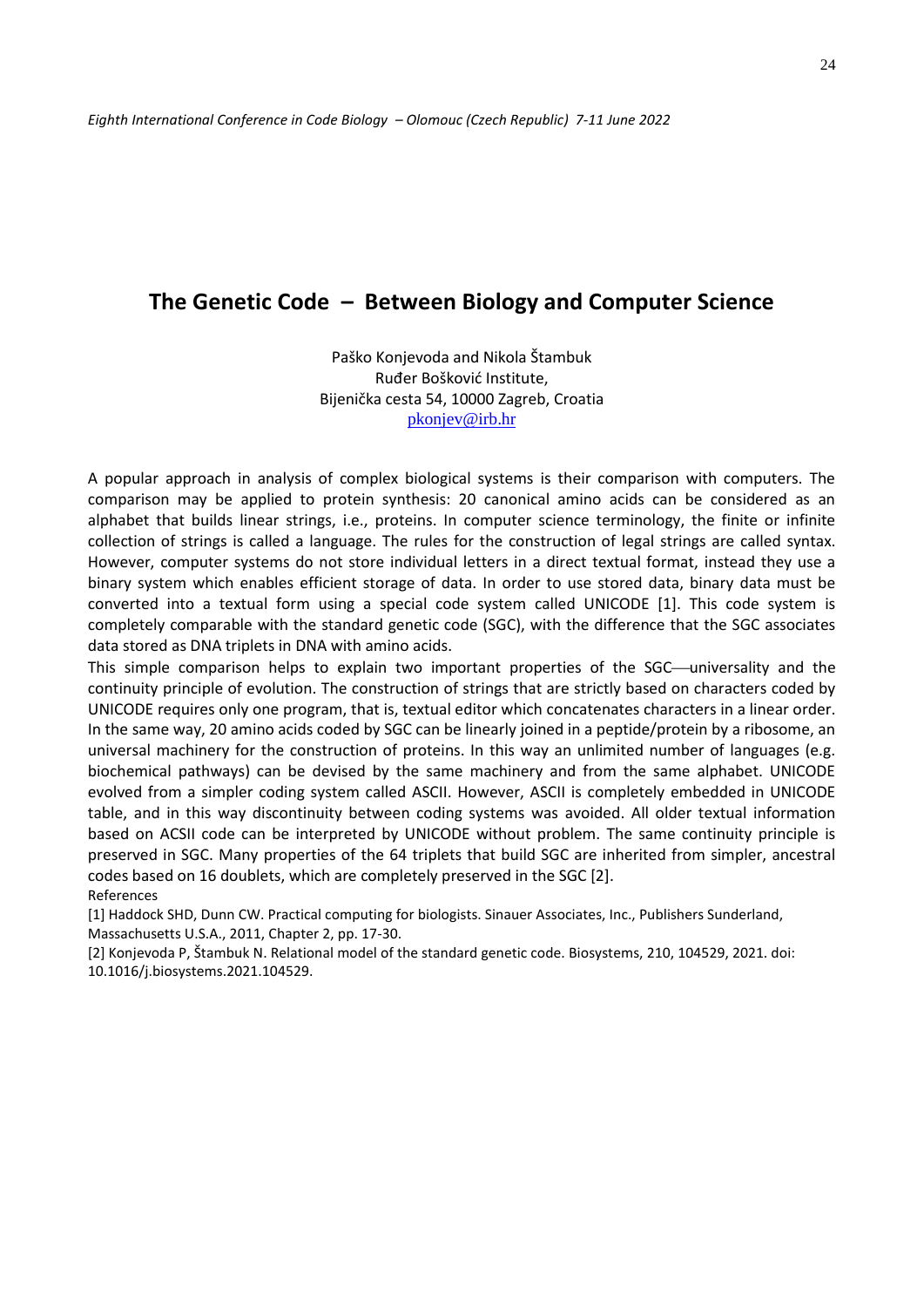### **The Genetic Code – Between Biology and Computer Science**

Paško Konjevoda and Nikola Štambuk Ruđer Bošković Institute, Bijenička cesta 54, 10000 Zagreb, Croatia [pkonjev@irb.hr](mailto:pkonjev@irb.hr)

A popular approach in analysis of complex biological systems is their comparison with computers. The comparison may be applied to protein synthesis: 20 canonical amino acids can be considered as an alphabet that builds linear strings, i.e., proteins. In computer science terminology, the finite or infinite collection of strings is called a language. The rules for the construction of legal strings are called syntax. However, computer systems do not store individual letters in a direct textual format, instead they use a binary system which enables efficient storage of data. In order to use stored data, binary data must be converted into a textual form using a special code system called UNICODE [1]. This code system is completely comparable with the standard genetic code (SGC), with the difference that the SGC associates data stored as DNA triplets in DNA with amino acids.

This simple comparison helps to explain two important properties of the SGC—universality and the continuity principle of evolution. The construction of strings that are strictly based on characters coded by UNICODE requires only one program, that is, textual editor which concatenates characters in a linear order. In the same way, 20 amino acids coded by SGC can be linearly joined in a peptide/protein by a ribosome, an universal machinery for the construction of proteins. In this way an unlimited number of languages (e.g. biochemical pathways) can be devised by the same machinery and from the same alphabet. UNICODE evolved from a simpler coding system called ASCII. However, ASCII is completely embedded in UNICODE table, and in this way discontinuity between coding systems was avoided. All older textual information based on ACSII code can be interpreted by UNICODE without problem. The same continuity principle is preserved in SGC. Many properties of the 64 triplets that build SGC are inherited from simpler, ancestral codes based on 16 doublets, which are completely preserved in the SGC [2]. References

[1] Haddock SHD, Dunn CW. Practical computing for biologists. Sinauer Associates, Inc., Publishers Sunderland, Massachusetts U.S.A., 2011, Chapter 2, pp. 17-30.

[2] Konjevoda P, Štambuk N. Relational model of the standard genetic code. Biosystems, 210, 104529, 2021. doi: 10.1016/j.biosystems.2021.104529.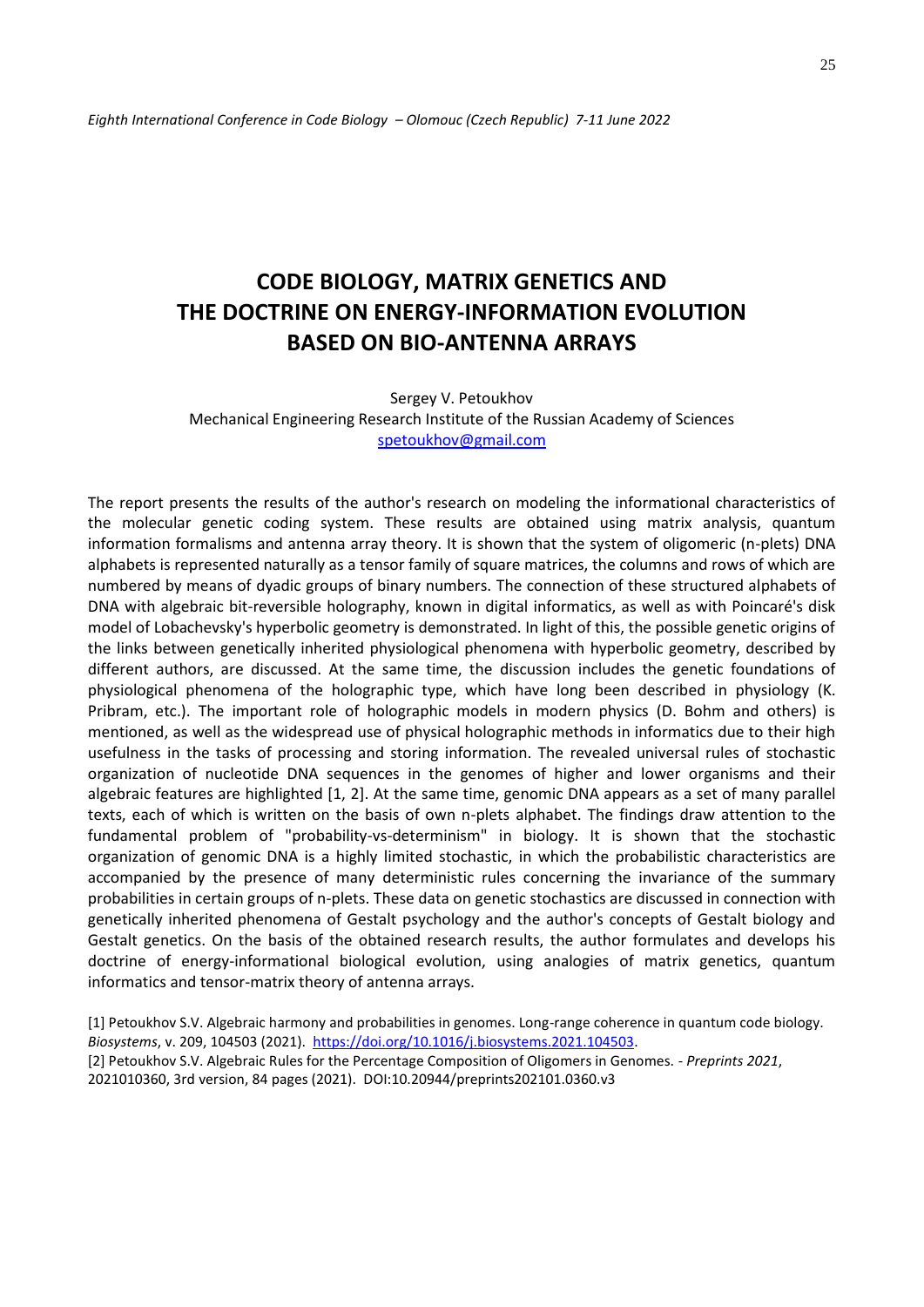# **CODE BIOLOGY, MATRIX GENETICS AND THE DOCTRINE ON ENERGY-INFORMATION EVOLUTION BASED ON BIO-ANTENNA ARRAYS**

Sergey V. Petoukhov Mechanical Engineering Research Institute of the Russian Academy of Sciences [spetoukhov@gmail.com](mailto:spetoukhov@gmail.com)

The report presents the results of the author's research on modeling the informational characteristics of the molecular genetic coding system. These results are obtained using matrix analysis, quantum information formalisms and antenna array theory. It is shown that the system of oligomeric (n-plets) DNA alphabets is represented naturally as a tensor family of square matrices, the columns and rows of which are numbered by means of dyadic groups of binary numbers. The connection of these structured alphabets of DNA with algebraic bit-reversible holography, known in digital informatics, as well as with Poincaré's disk model of Lobachevsky's hyperbolic geometry is demonstrated. In light of this, the possible genetic origins of the links between genetically inherited physiological phenomena with hyperbolic geometry, described by different authors, are discussed. At the same time, the discussion includes the genetic foundations of physiological phenomena of the holographic type, which have long been described in physiology (K. Pribram, etc.). The important role of holographic models in modern physics (D. Bohm and others) is mentioned, as well as the widespread use of physical holographic methods in informatics due to their high usefulness in the tasks of processing and storing information. The revealed universal rules of stochastic organization of nucleotide DNA sequences in the genomes of higher and lower organisms and their algebraic features are highlighted [1, 2]. At the same time, genomic DNA appears as a set of many parallel texts, each of which is written on the basis of own n-plets alphabet. The findings draw attention to the fundamental problem of "probability-vs-determinism" in biology. It is shown that the stochastic organization of genomic DNA is a highly limited stochastic, in which the probabilistic characteristics are accompanied by the presence of many deterministic rules concerning the invariance of the summary probabilities in certain groups of n-plets. These data on genetic stochastics are discussed in connection with genetically inherited phenomena of Gestalt psychology and the author's concepts of Gestalt biology and Gestalt genetics. On the basis of the obtained research results, the author formulates and develops his doctrine of energy-informational biological evolution, using analogies of matrix genetics, quantum informatics and tensor-matrix theory of antenna arrays.

[1] Petoukhov S.V. Algebraic harmony and probabilities in genomes. Long-range coherence in quantum code biology. *Biosystems*, v. 209, 104503 (2021). [https://doi.org/10.1016/j.biosystems.2021.104503.](about:blank) [2] Petoukhov S.V. Algebraic Rules for the Percentage Composition of Oligomers in Genomes. - *Preprints 2021*, 2021010360, 3rd version, 84 pages (2021). DOI:10.20944/preprints202101.0360.v3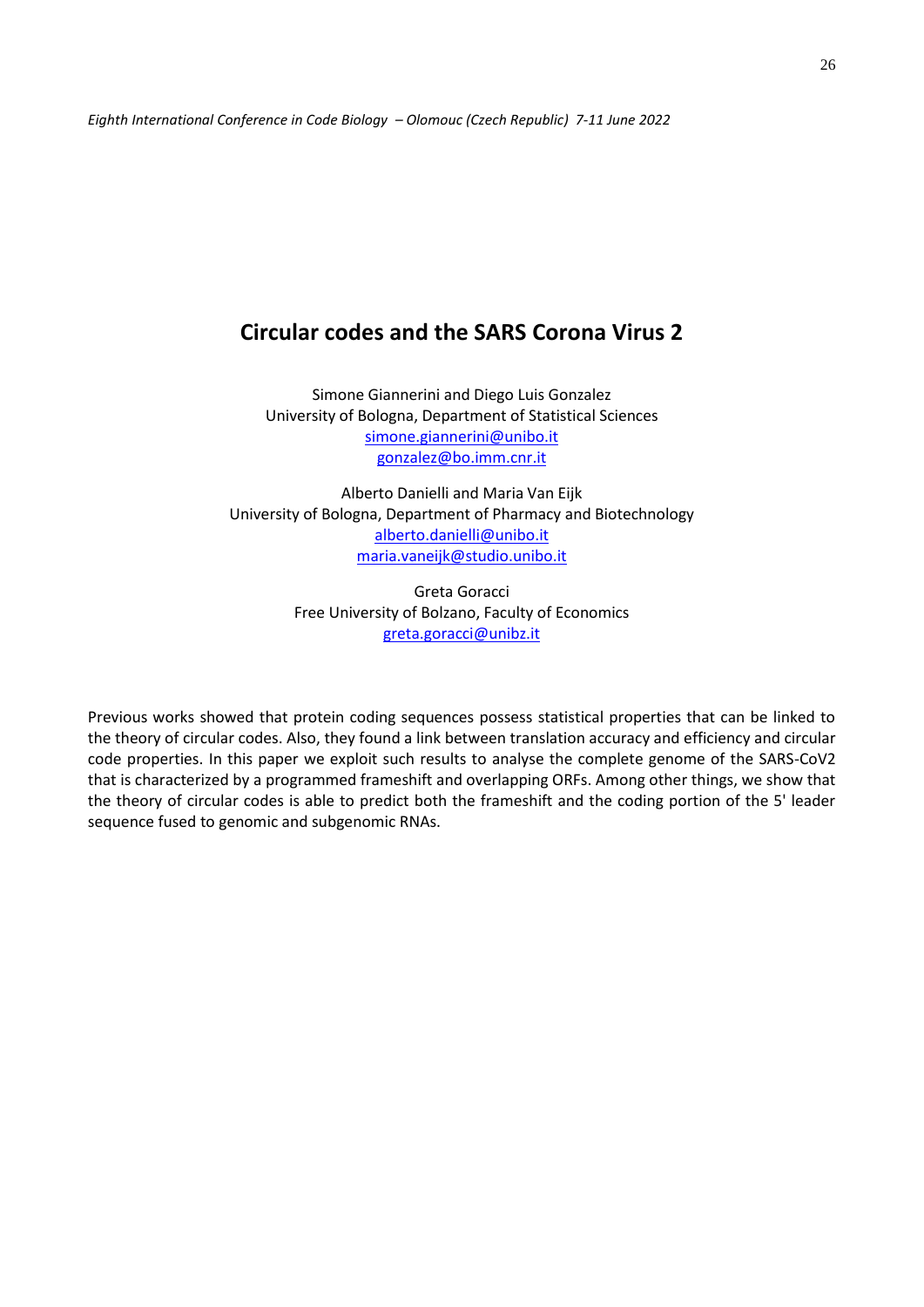## **Circular codes and the SARS Corona Virus 2**

Simone Giannerini and Diego Luis Gonzalez University of Bologna, Department of Statistical Sciences [simone.giannerini@unibo.it](mailto:simone.giannerini@unibo.it) [gonzalez@bo.imm.cnr.it](mailto:gonzalez@bo.imm.cnr.it)

Alberto Danielli and Maria Van Eijk University of Bologna, Department of Pharmacy and Biotechnology [alberto.danielli@unibo.it](mailto:alberto.danielli@unibo.it) [maria.vaneijk@studio.unibo.it](mailto:maria.vaneijk@studio.unibo.it)

> Greta Goracci Free University of Bolzano, Faculty of Economics [greta.goracci@unibz.it](mailto:greta.goracci@unibz.it)

Previous works showed that protein coding sequences possess statistical properties that can be linked to the theory of circular codes. Also, they found a link between translation accuracy and efficiency and circular code properties. In this paper we exploit such results to analyse the complete genome of the SARS-CoV2 that is characterized by a programmed frameshift and overlapping ORFs. Among other things, we show that the theory of circular codes is able to predict both the frameshift and the coding portion of the 5' leader sequence fused to genomic and subgenomic RNAs.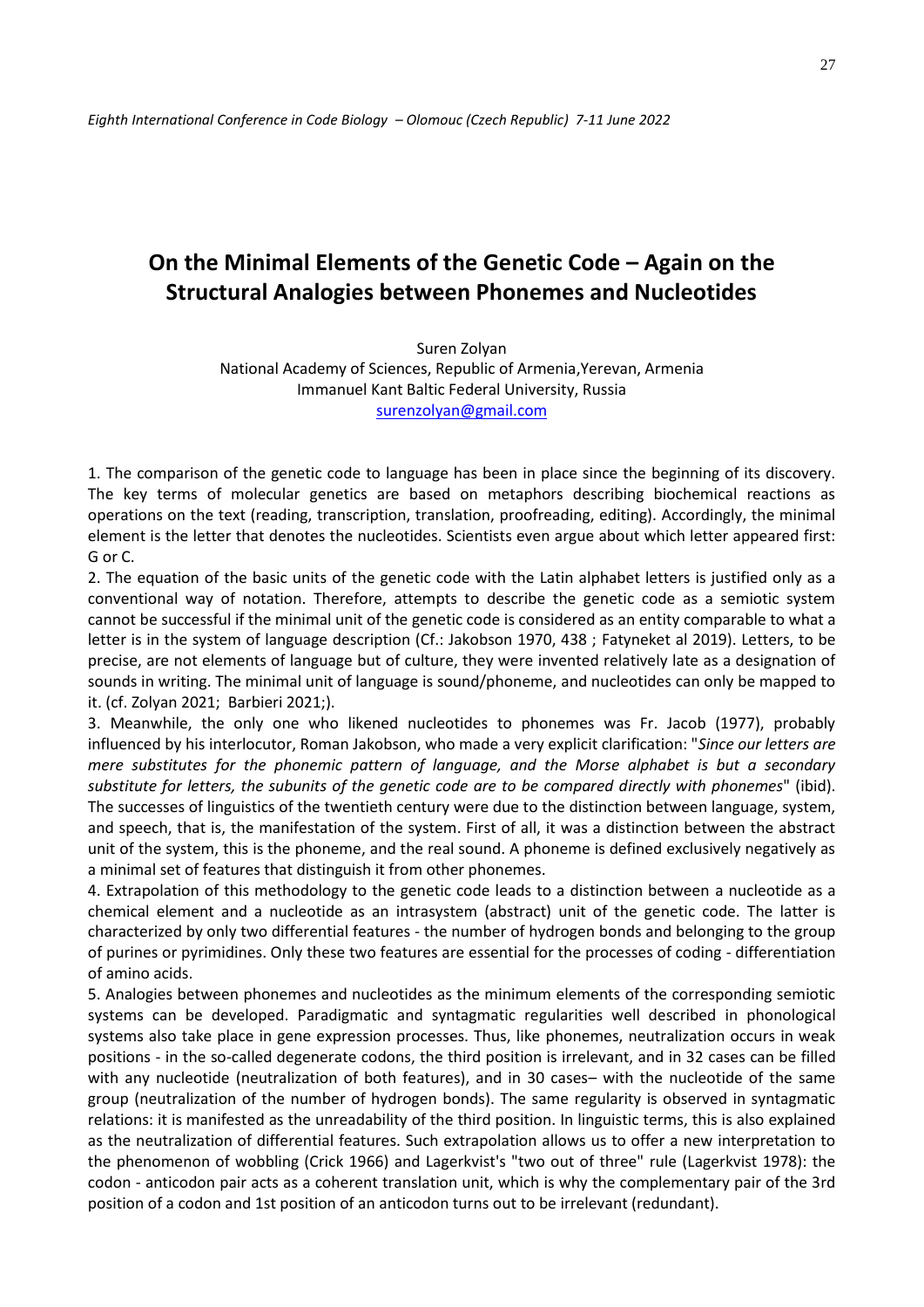## **On the Minimal Elements of the Genetic Code – Again on the Structural Analogies between Phonemes and Nucleotides**

Suren Zolyan National Academy of Sciences, Republic of Armenia,Yerevan, Armenia Immanuel Kant Baltic Federal University, Russia [surenzolyan@gmail.com](about:blank)

1. The comparison of the genetic code to language has been in place since the beginning of its discovery. The key terms of molecular genetics are based on metaphors describing biochemical reactions as operations on the text (reading, transcription, translation, proofreading, editing). Accordingly, the minimal element is the letter that denotes the nucleotides. Scientists even argue about which letter appeared first: G or C.

2. The equation of the basic units of the genetic code with the Latin alphabet letters is justified only as a conventional way of notation. Therefore, attempts to describe the genetic code as a semiotic system cannot be successful if the minimal unit of the genetic code is considered as an entity comparable to what a letter is in the system of language description (Cf.: Jakobson 1970, 438 ; Fatyneket al 2019). Letters, to be precise, are not elements of language but of culture, they were invented relatively late as a designation of sounds in writing. The minimal unit of language is sound/phoneme, and nucleotides can only be mapped to it. (cf. Zolyan 2021; Barbieri 2021;).

3. Meanwhile, the only one who likened nucleotides to phonemes was Fr. Jacob (1977), probably influenced by his interlocutor, Roman Jakobson, who made a very explicit clarification: "*Since our letters are mere substitutes for the phonemic pattern of language, and the Morse alphabet is but a secondary substitute for letters, the subunits of the genetic code are to be compared directly with phonemes*" (ibid). The successes of linguistics of the twentieth century were due to the distinction between language, system, and speech, that is, the manifestation of the system. First of all, it was a distinction between the abstract unit of the system, this is the phoneme, and the real sound. A phoneme is defined exclusively negatively as a minimal set of features that distinguish it from other phonemes.

4. Extrapolation of this methodology to the genetic code leads to a distinction between a nucleotide as a chemical element and a nucleotide as an intrasystem (abstract) unit of the genetic code. The latter is characterized by only two differential features - the number of hydrogen bonds and belonging to the group of purines or pyrimidines. Only these two features are essential for the processes of coding - differentiation of amino acids.

5. Analogies between phonemes and nucleotides as the minimum elements of the corresponding semiotic systems can be developed. Paradigmatic and syntagmatic regularities well described in phonological systems also take place in gene expression processes. Thus, like phonemes, neutralization occurs in weak positions - in the so-called degenerate codons, the third position is irrelevant, and in 32 cases can be filled with any nucleotide (neutralization of both features), and in 30 cases– with the nucleotide of the same group (neutralization of the number of hydrogen bonds). The same regularity is observed in syntagmatic relations: it is manifested as the unreadability of the third position. In linguistic terms, this is also explained as the neutralization of differential features. Such extrapolation allows us to offer a new interpretation to the phenomenon of wobbling (Crick 1966) and Lagerkvist's "two out of three" rule (Lagerkvist 1978): the codon - anticodon pair acts as a coherent translation unit, which is why the complementary pair of the 3rd position of a codon and 1st position of an anticodon turns out to be irrelevant (redundant).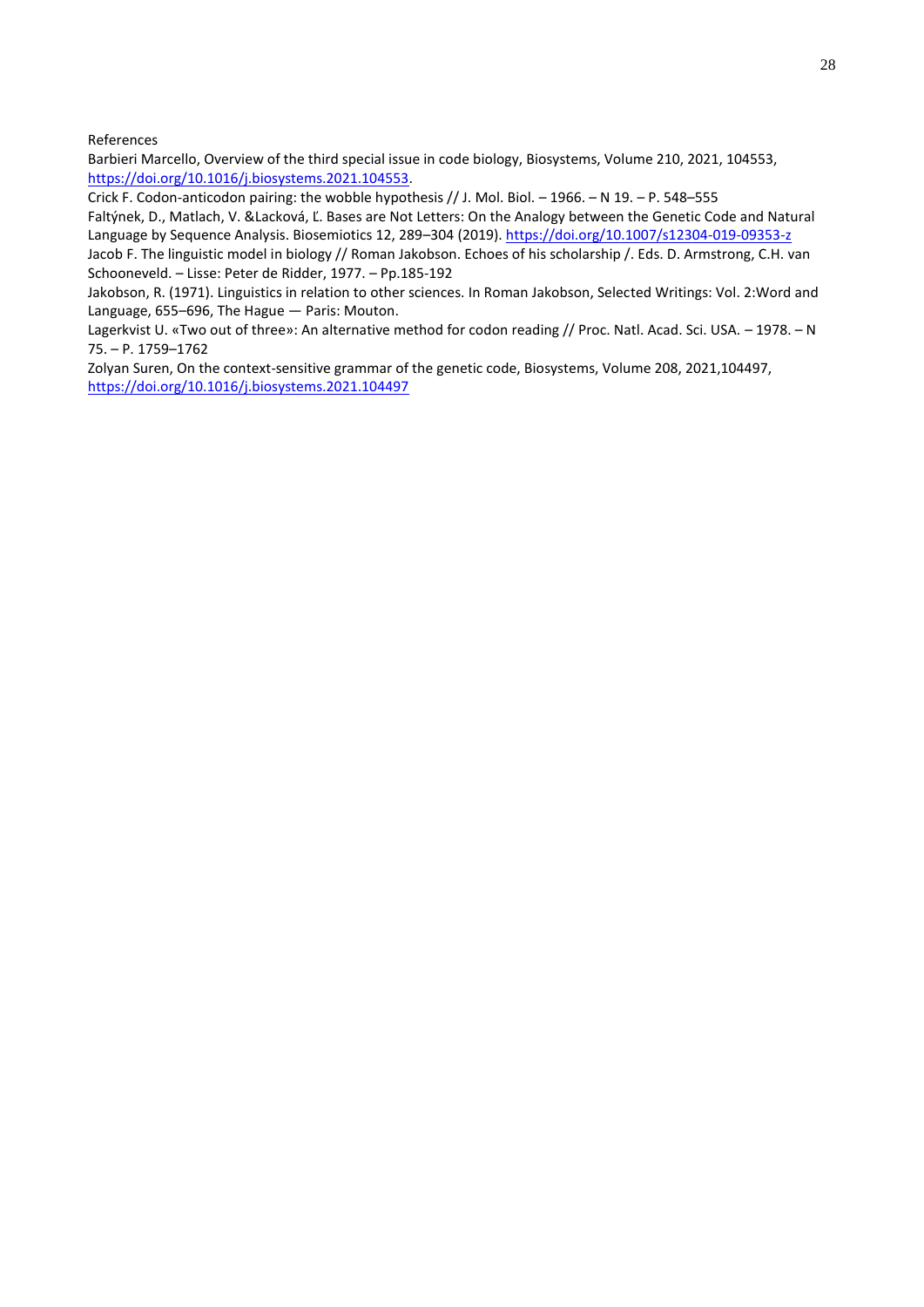References

Barbieri Marcello, Overview of the third special issue in code biology, Biosystems, Volume 210, 2021, 104553, [https://doi.org/10.1016/j.biosystems.2021.104553.](about:blank)

Crick F. Codon-anticodon pairing: the wobble hypothesis // J. Mol. Biol. – 1966. – N 19. – P. 548–555

Faltýnek, D., Matlach, V. &Lacková, Ľ. Bases are Not Letters: On the Analogy between the Genetic Code and Natural Language by Sequence Analysis. Biosemiotics 12, 289–304 (2019). [https://doi.org/10.1007/s12304-019-09353-z](about:blank)

Jacob F. The linguistic model in biology // Roman Jakobson. Echoes of his scholarship /. Eds. D. Armstrong, C.H. van Schooneveld. – Lisse: Peter de Ridder, 1977. – Pp.185-192

Jakobson, R. (1971). Linguistics in relation to other sciences. In Roman Jakobson, Selected Writings: Vol. 2:Word and Language, 655–696, The Hague — Paris: Mouton.

Lagerkvist U. «Two out of three»: An alternative method for codon reading // Proc. Natl. Acad. Sci. USA. – 1978. – N 75. – P. 1759–1762

Zolyan Suren, On the context-sensitive grammar of the genetic code, Biosystems, Volume 208, 2021,104497, <https://doi.org/10.1016/j.biosystems.2021.104497>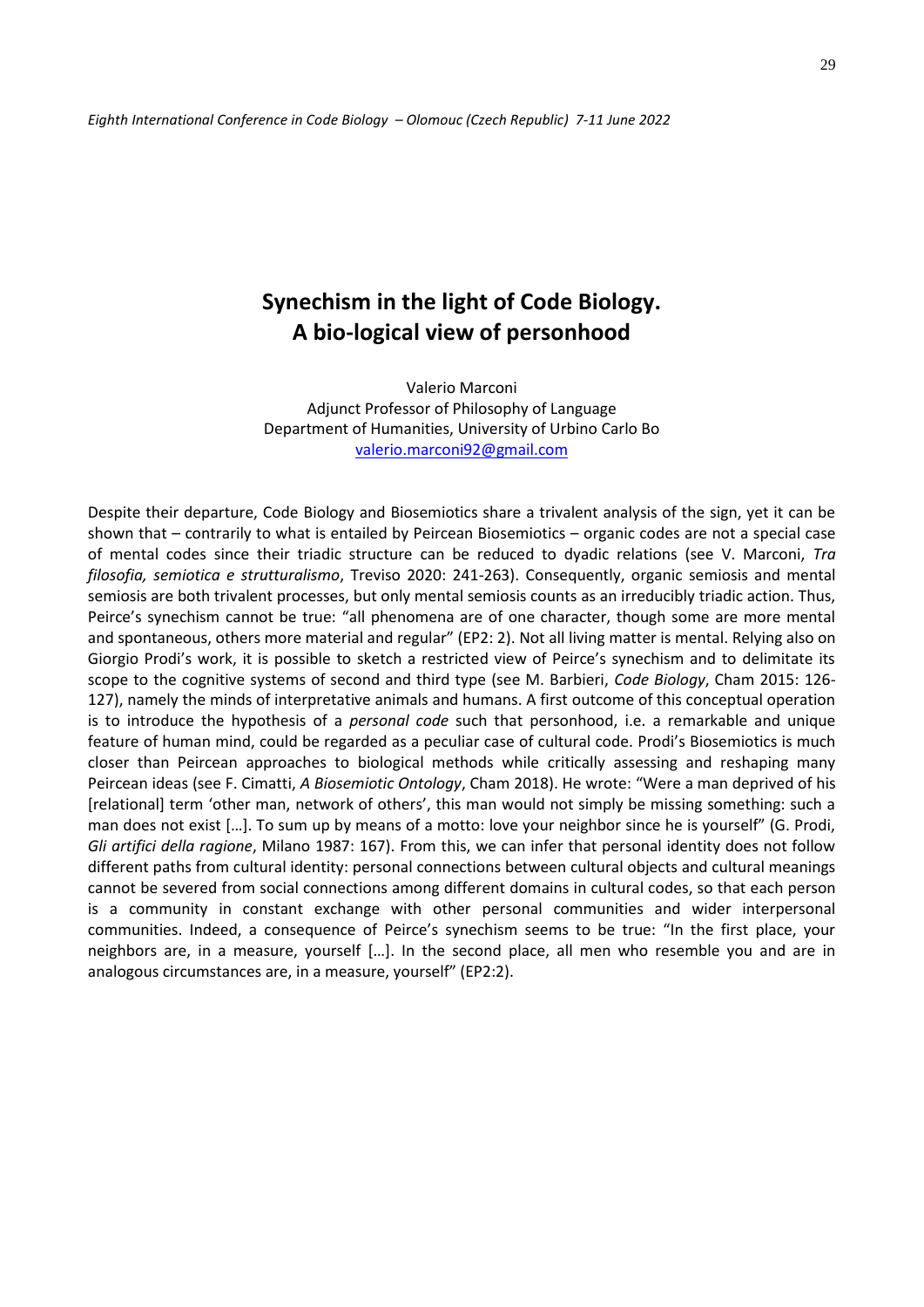## **Synechism in the light of Code Biology. A bio-logical view of personhood**

Valerio Marconi Adjunct Professor of Philosophy of Language Department of Humanities, University of Urbino Carlo Bo [valerio.marconi92@gmail.com](mailto:valerio.marconi92@gmail.com)

Despite their departure, Code Biology and Biosemiotics share a trivalent analysis of the sign, yet it can be shown that – contrarily to what is entailed by Peircean Biosemiotics – organic codes are not a special case of mental codes since their triadic structure can be reduced to dyadic relations (see V. Marconi, *Tra filosofia, semiotica e strutturalismo*, Treviso 2020: 241-263). Consequently, organic semiosis and mental semiosis are both trivalent processes, but only mental semiosis counts as an irreducibly triadic action. Thus, Peirce's synechism cannot be true: "all phenomena are of one character, though some are more mental and spontaneous, others more material and regular" (EP2: 2). Not all living matter is mental. Relying also on Giorgio Prodi's work, it is possible to sketch a restricted view of Peirce's synechism and to delimitate its scope to the cognitive systems of second and third type (see M. Barbieri, *Code Biology*, Cham 2015: 126- 127), namely the minds of interpretative animals and humans. A first outcome of this conceptual operation is to introduce the hypothesis of a *personal code* such that personhood, i.e. a remarkable and unique feature of human mind, could be regarded as a peculiar case of cultural code. Prodi's Biosemiotics is much closer than Peircean approaches to biological methods while critically assessing and reshaping many Peircean ideas (see F. Cimatti, *A Biosemiotic Ontology*, Cham 2018). He wrote: "Were a man deprived of his [relational] term 'other man, network of others', this man would not simply be missing something: such a man does not exist […]. To sum up by means of a motto: love your neighbor since he is yourself" (G. Prodi, *Gli artifici della ragione*, Milano 1987: 167). From this, we can infer that personal identity does not follow different paths from cultural identity: personal connections between cultural objects and cultural meanings cannot be severed from social connections among different domains in cultural codes, so that each person is a community in constant exchange with other personal communities and wider interpersonal communities. Indeed, a consequence of Peirce's synechism seems to be true: "In the first place, your neighbors are, in a measure, yourself […]. In the second place, all men who resemble you and are in analogous circumstances are, in a measure, yourself" (EP2:2).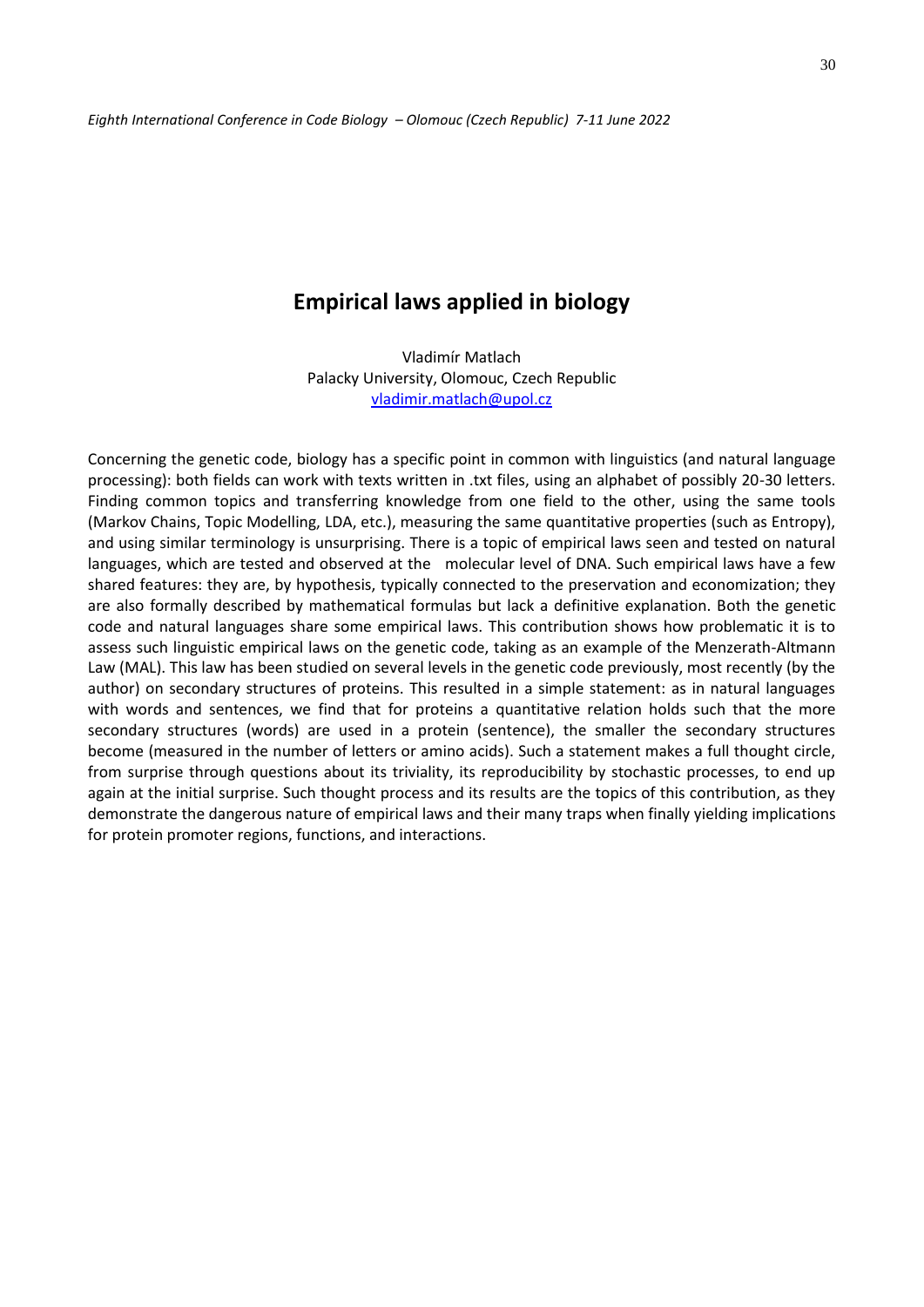## **Empirical laws applied in biology**

Vladimír Matlach Palacky University, Olomouc, Czech Republic [vladimir.matlach@upol.cz](mailto:vladimir.matlach@upol.cz)

Concerning the genetic code, biology has a specific point in common with linguistics (and natural language processing): both fields can work with texts written in .txt files, using an alphabet of possibly 20-30 letters. Finding common topics and transferring knowledge from one field to the other, using the same tools (Markov Chains, Topic Modelling, LDA, etc.), measuring the same quantitative properties (such as Entropy), and using similar terminology is unsurprising. There is a topic of empirical laws seen and tested on natural languages, which are tested and observed at the molecular level of DNA. Such empirical laws have a few shared features: they are, by hypothesis, typically connected to the preservation and economization; they are also formally described by mathematical formulas but lack a definitive explanation. Both the genetic code and natural languages share some empirical laws. This contribution shows how problematic it is to assess such linguistic empirical laws on the genetic code, taking as an example of the Menzerath-Altmann Law (MAL). This law has been studied on several levels in the genetic code previously, most recently (by the author) on secondary structures of proteins. This resulted in a simple statement: as in natural languages with words and sentences, we find that for proteins a quantitative relation holds such that the more secondary structures (words) are used in a protein (sentence), the smaller the secondary structures become (measured in the number of letters or amino acids). Such a statement makes a full thought circle, from surprise through questions about its triviality, its reproducibility by stochastic processes, to end up again at the initial surprise. Such thought process and its results are the topics of this contribution, as they demonstrate the dangerous nature of empirical laws and their many traps when finally yielding implications for protein promoter regions, functions, and interactions.